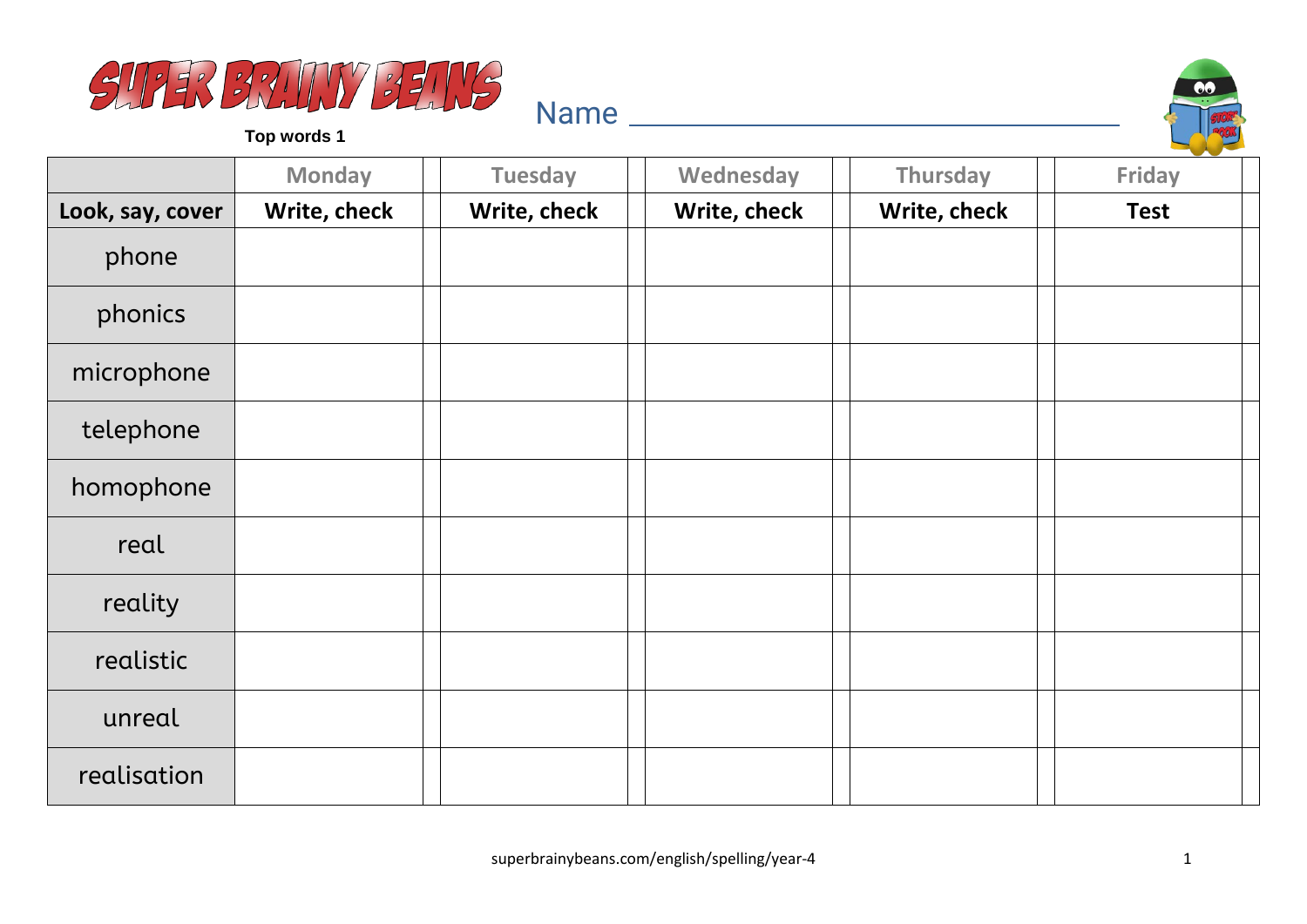



|                  | <b>Monday</b> | <b>Tuesday</b> | Wednesday    | Thursday     | <b>Friday</b> |
|------------------|---------------|----------------|--------------|--------------|---------------|
| Look, say, cover | Write, check  | Write, check   | Write, check | Write, check | <b>Test</b>   |
| phone            |               |                |              |              |               |
| phonics          |               |                |              |              |               |
| microphone       |               |                |              |              |               |
| telephone        |               |                |              |              |               |
| homophone        |               |                |              |              |               |
| real             |               |                |              |              |               |
| reality          |               |                |              |              |               |
| realistic        |               |                |              |              |               |
| unreal           |               |                |              |              |               |
| realisation      |               |                |              |              |               |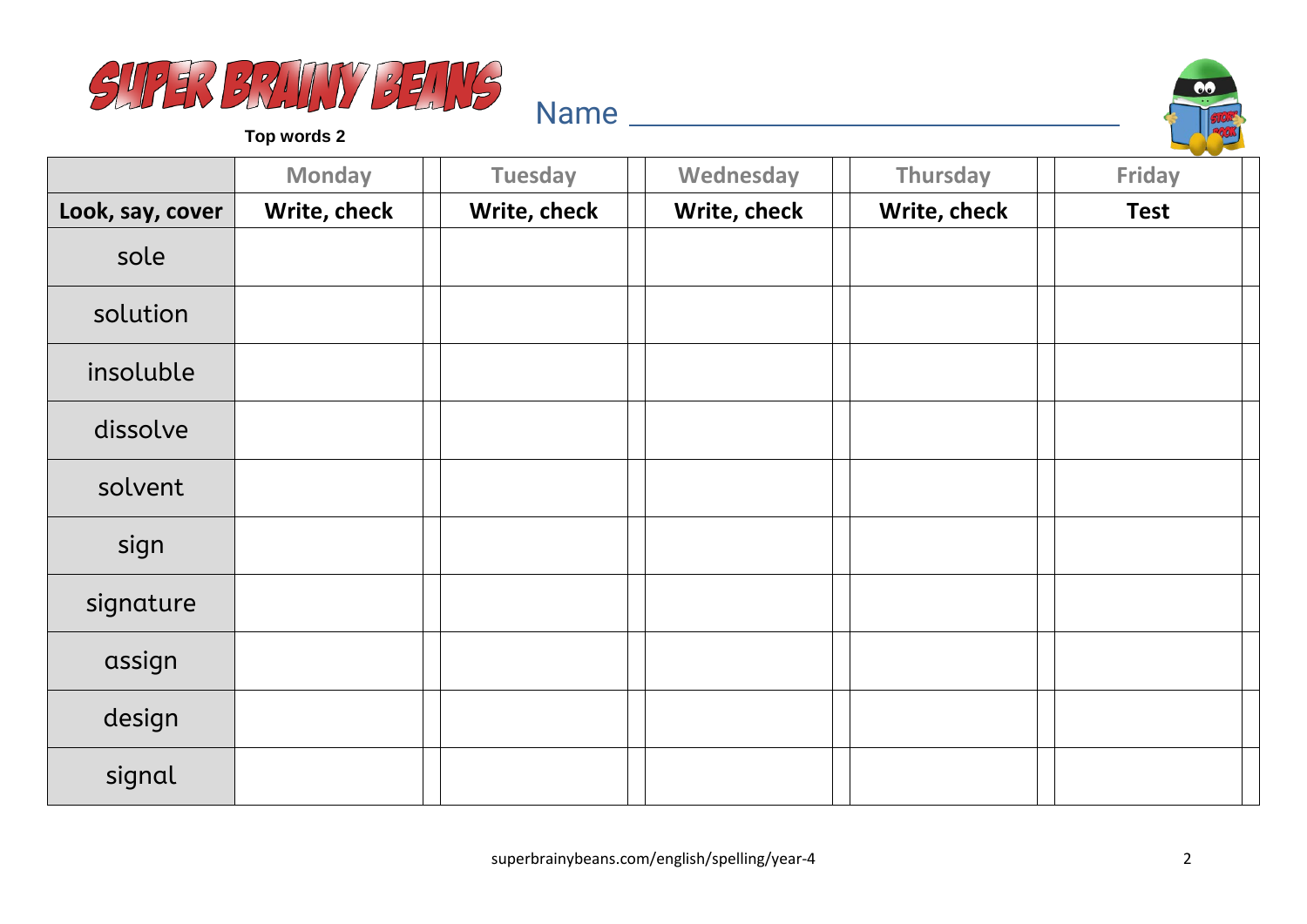



|                  | <b>Monday</b> | <b>Tuesday</b> | Wednesday    | Thursday     | <b>Friday</b> |
|------------------|---------------|----------------|--------------|--------------|---------------|
| Look, say, cover | Write, check  | Write, check   | Write, check | Write, check | <b>Test</b>   |
| sole             |               |                |              |              |               |
| solution         |               |                |              |              |               |
| insoluble        |               |                |              |              |               |
| dissolve         |               |                |              |              |               |
| solvent          |               |                |              |              |               |
| sign             |               |                |              |              |               |
| signature        |               |                |              |              |               |
| assign           |               |                |              |              |               |
| design           |               |                |              |              |               |
| signal           |               |                |              |              |               |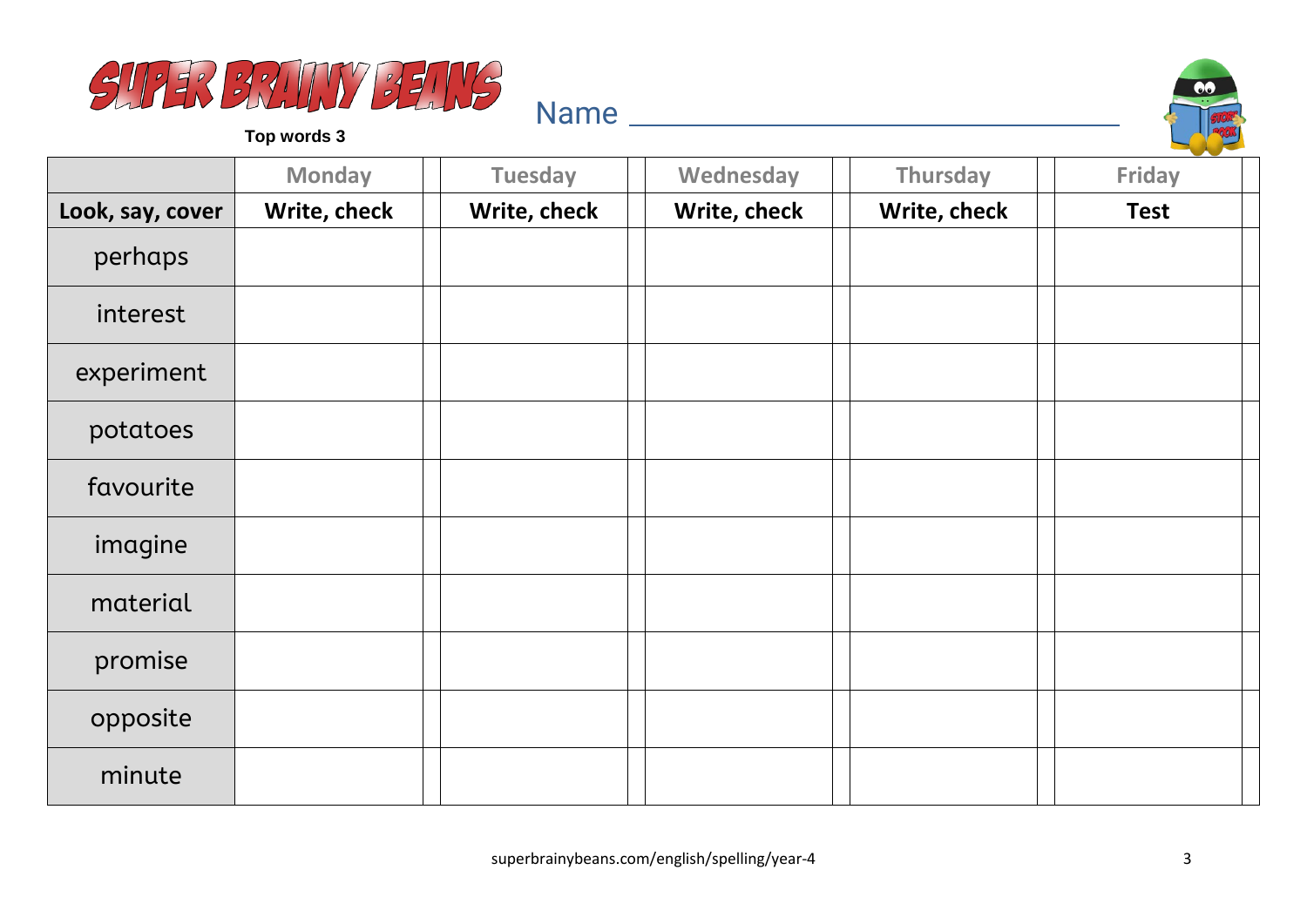



|                  | <b>Monday</b> | <b>Tuesday</b> | Wednesday    | Thursday     | <b>Friday</b> |
|------------------|---------------|----------------|--------------|--------------|---------------|
| Look, say, cover | Write, check  | Write, check   | Write, check | Write, check | <b>Test</b>   |
| perhaps          |               |                |              |              |               |
| interest         |               |                |              |              |               |
| experiment       |               |                |              |              |               |
| potatoes         |               |                |              |              |               |
| favourite        |               |                |              |              |               |
| imagine          |               |                |              |              |               |
| material         |               |                |              |              |               |
| promise          |               |                |              |              |               |
| opposite         |               |                |              |              |               |
| minute           |               |                |              |              |               |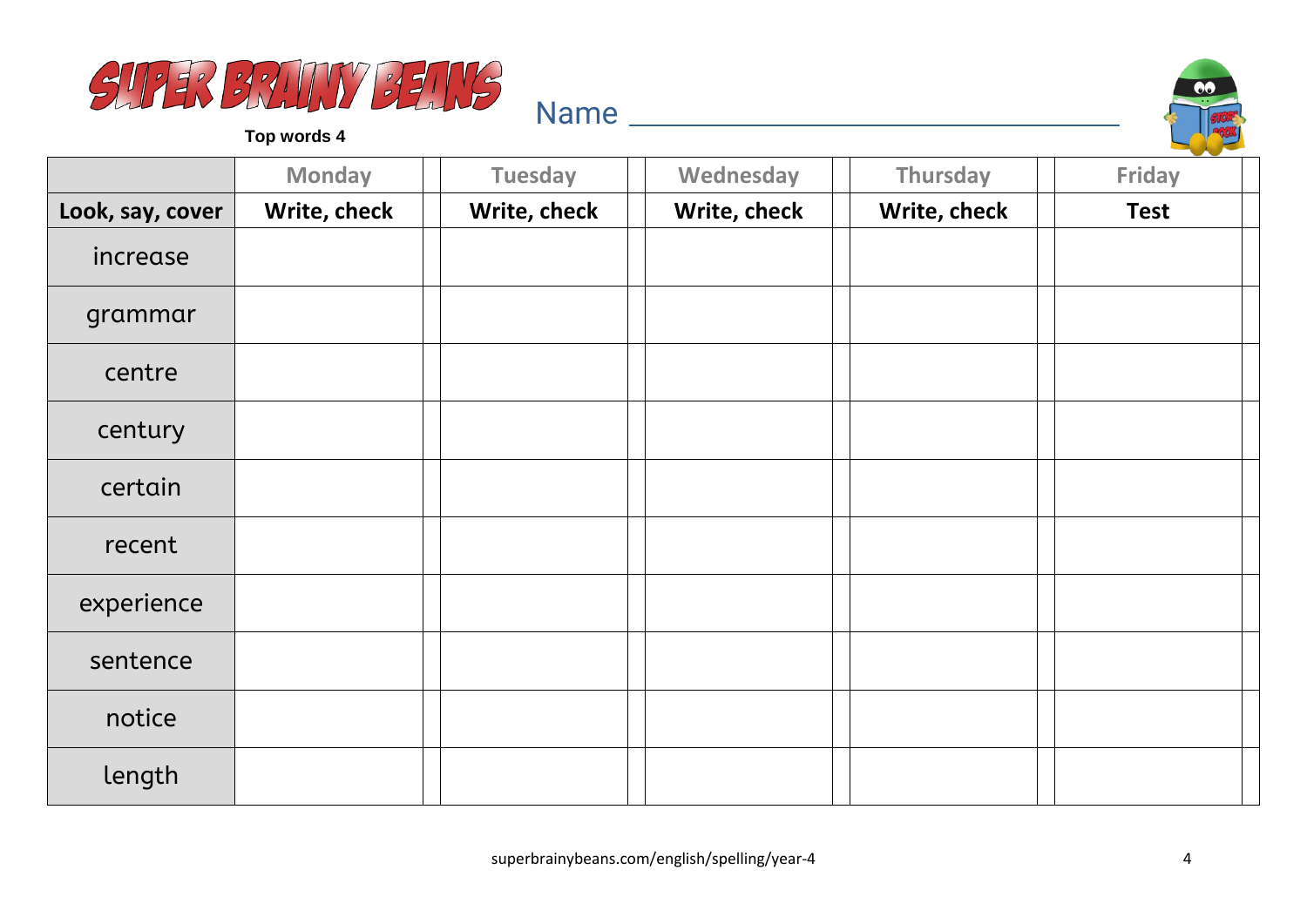



|                  | <b>Monday</b> | <b>Tuesday</b> | Wednesday    | Thursday     | <b>Friday</b> |
|------------------|---------------|----------------|--------------|--------------|---------------|
| Look, say, cover | Write, check  | Write, check   | Write, check | Write, check | <b>Test</b>   |
| increase         |               |                |              |              |               |
| grammar          |               |                |              |              |               |
| centre           |               |                |              |              |               |
| century          |               |                |              |              |               |
| certain          |               |                |              |              |               |
| recent           |               |                |              |              |               |
| experience       |               |                |              |              |               |
| sentence         |               |                |              |              |               |
| notice           |               |                |              |              |               |
| length           |               |                |              |              |               |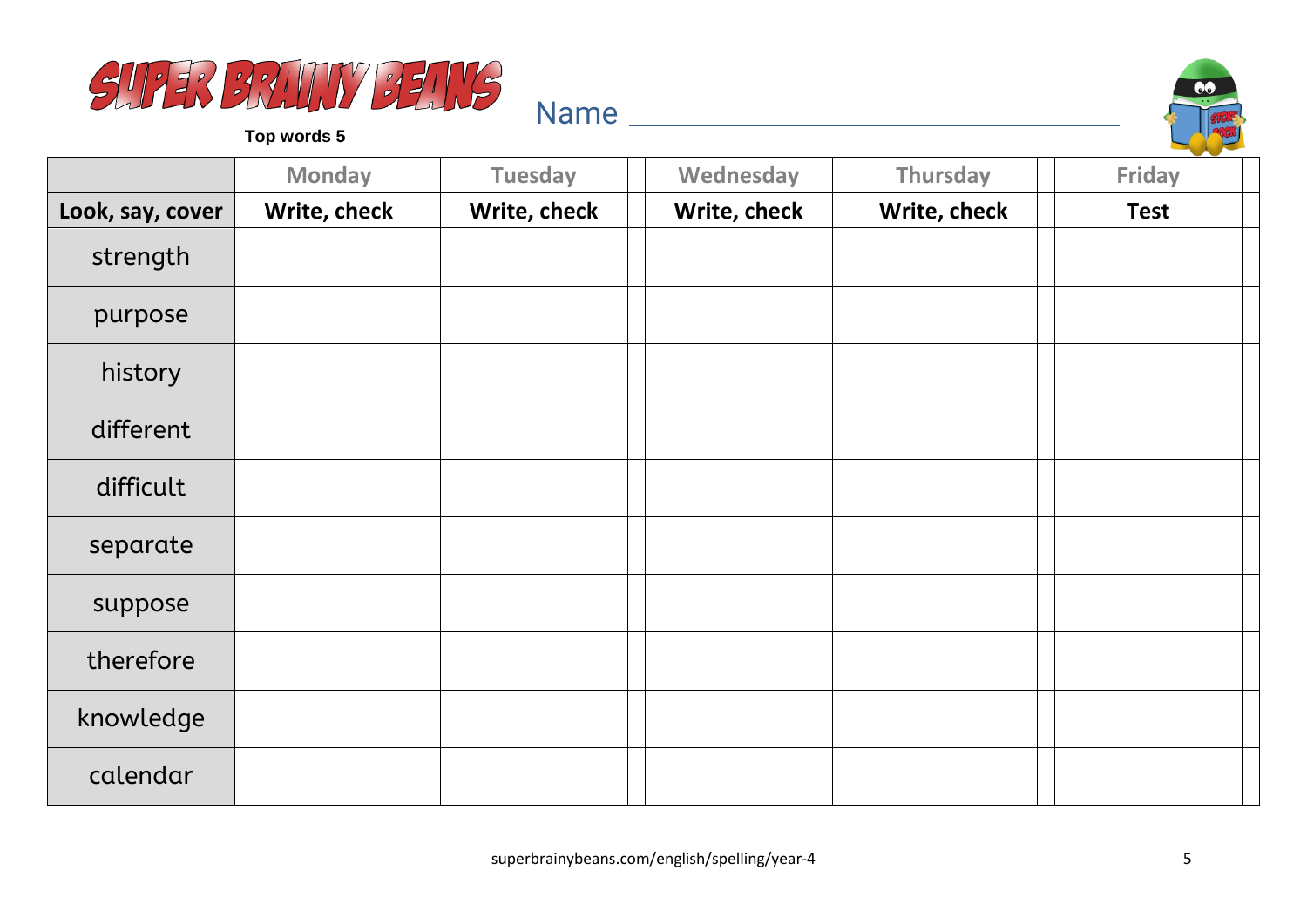



|                  | <b>Monday</b> | <b>Tuesday</b> | Wednesday    | Thursday     | <b>Friday</b> |
|------------------|---------------|----------------|--------------|--------------|---------------|
| Look, say, cover | Write, check  | Write, check   | Write, check | Write, check | <b>Test</b>   |
| strength         |               |                |              |              |               |
| purpose          |               |                |              |              |               |
| history          |               |                |              |              |               |
| different        |               |                |              |              |               |
| difficult        |               |                |              |              |               |
| separate         |               |                |              |              |               |
| suppose          |               |                |              |              |               |
| therefore        |               |                |              |              |               |
| knowledge        |               |                |              |              |               |
| calendar         |               |                |              |              |               |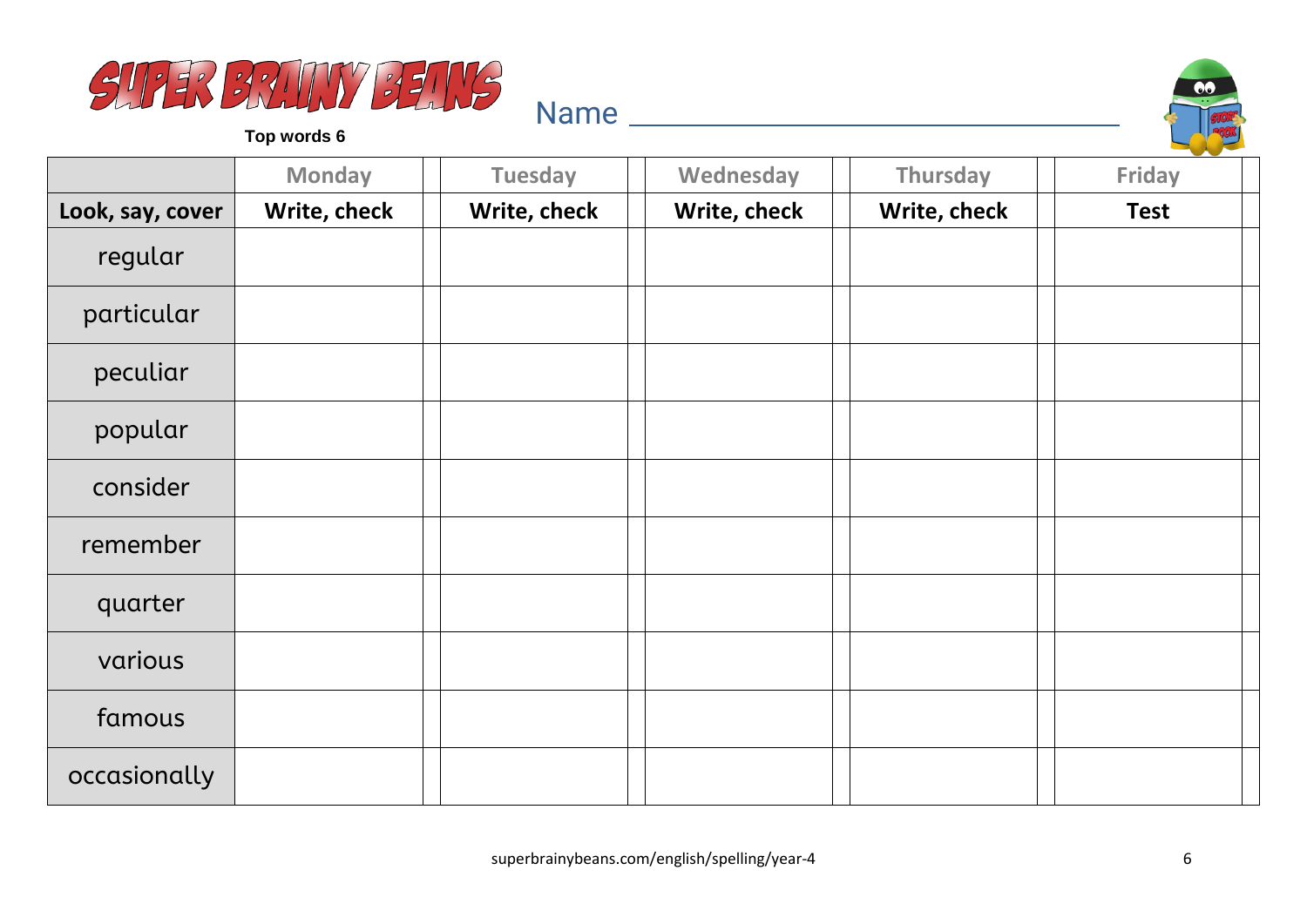



|                  | <b>Monday</b> | <b>Tuesday</b> | Wednesday    | Thursday     | <b>Friday</b> |
|------------------|---------------|----------------|--------------|--------------|---------------|
| Look, say, cover | Write, check  | Write, check   | Write, check | Write, check | <b>Test</b>   |
| regular          |               |                |              |              |               |
| particular       |               |                |              |              |               |
| peculiar         |               |                |              |              |               |
| popular          |               |                |              |              |               |
| consider         |               |                |              |              |               |
| remember         |               |                |              |              |               |
| quarter          |               |                |              |              |               |
| various          |               |                |              |              |               |
| famous           |               |                |              |              |               |
| occasionally     |               |                |              |              |               |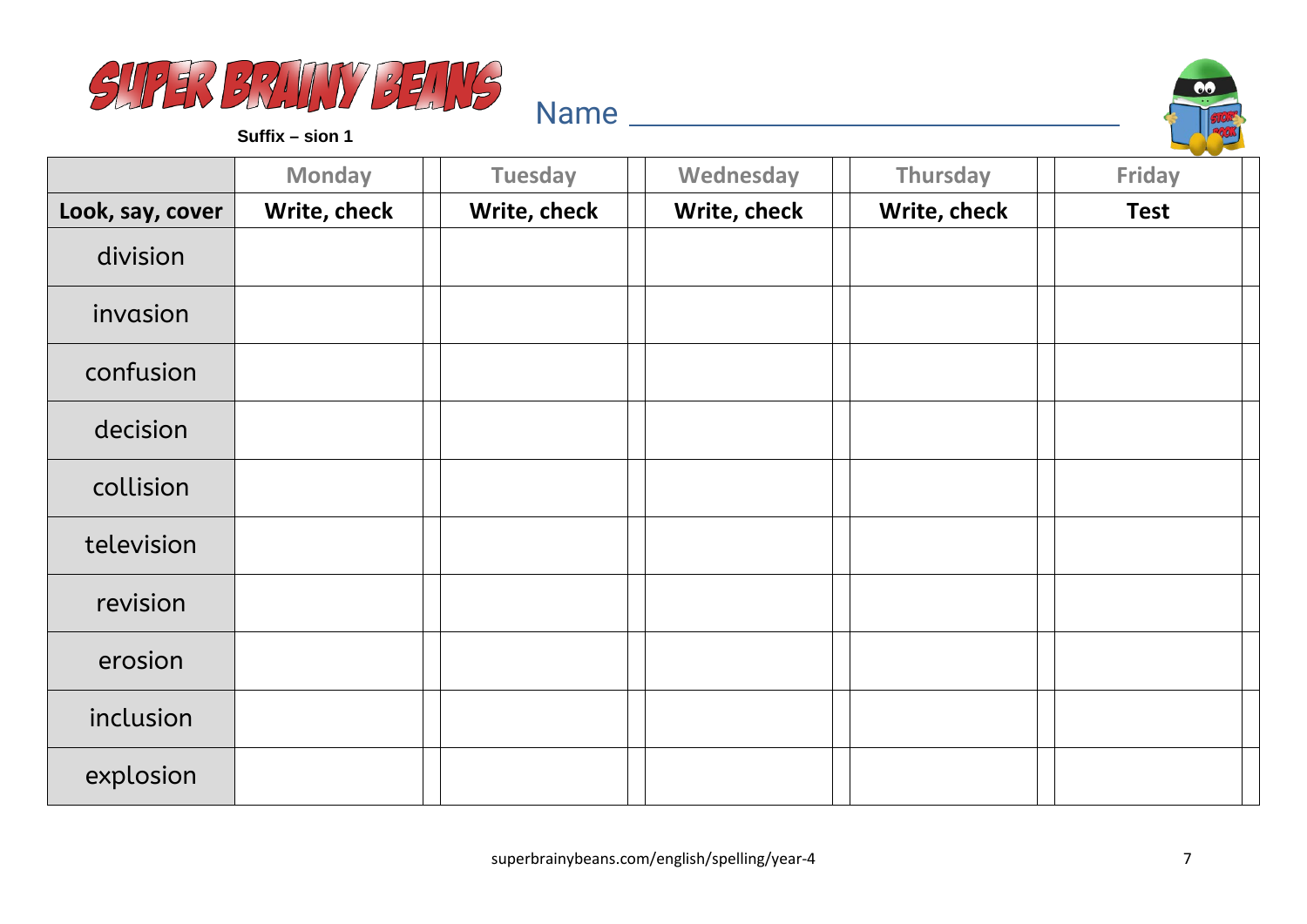



**Suffix – sion 1**

|                  | <b>Monday</b> | <b>Tuesday</b> | Wednesday    | Thursday     | Friday      |
|------------------|---------------|----------------|--------------|--------------|-------------|
| Look, say, cover | Write, check  | Write, check   | Write, check | Write, check | <b>Test</b> |
| division         |               |                |              |              |             |
| invasion         |               |                |              |              |             |
| confusion        |               |                |              |              |             |
| decision         |               |                |              |              |             |
| collision        |               |                |              |              |             |
| television       |               |                |              |              |             |
| revision         |               |                |              |              |             |
| erosion          |               |                |              |              |             |
| inclusion        |               |                |              |              |             |
| explosion        |               |                |              |              |             |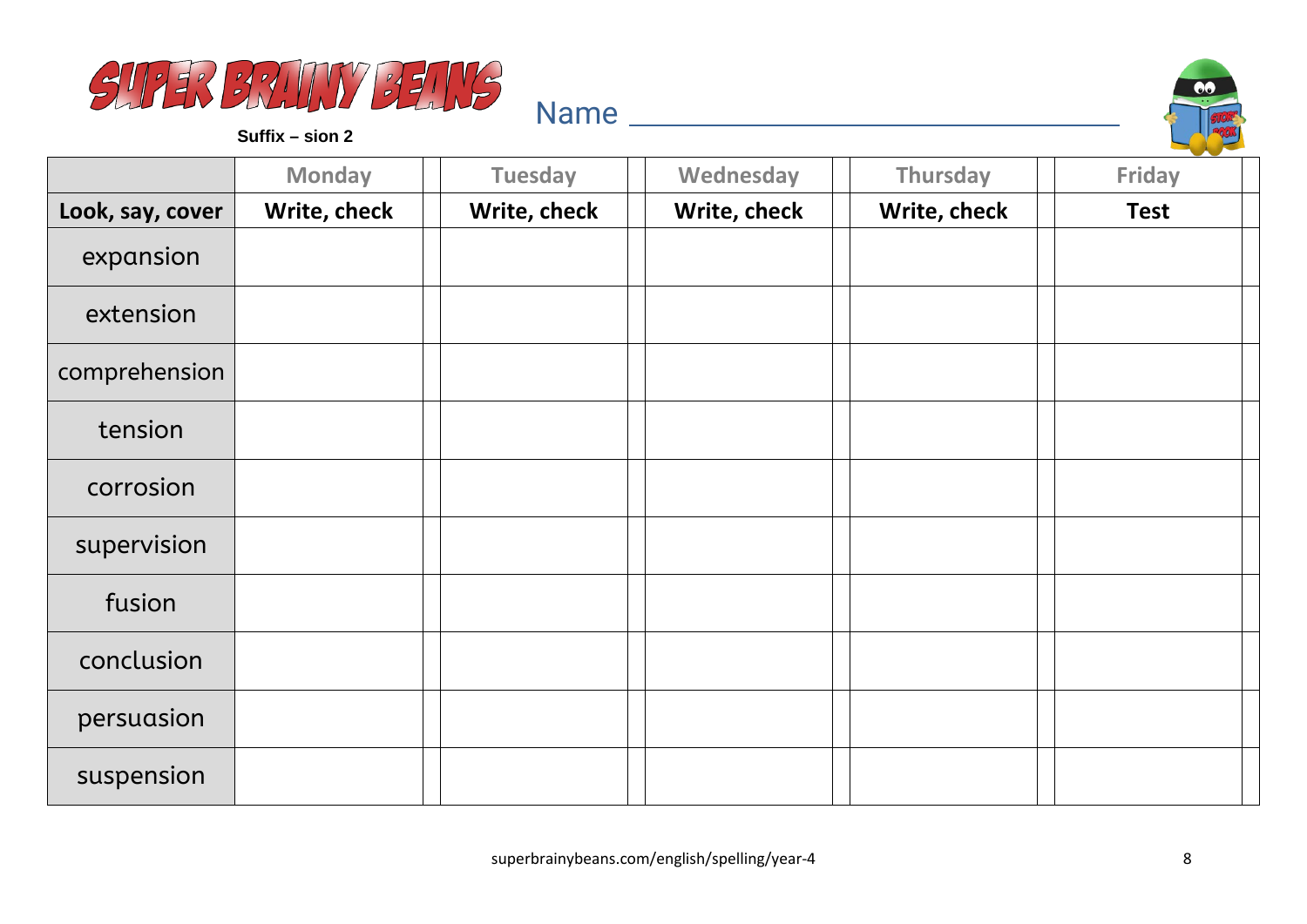



**Suffix – sion 2**

|                  | <b>Monday</b> | <b>Tuesday</b> | Wednesday    | Thursday     | <b>Friday</b> |
|------------------|---------------|----------------|--------------|--------------|---------------|
| Look, say, cover | Write, check  | Write, check   | Write, check | Write, check | <b>Test</b>   |
| expansion        |               |                |              |              |               |
| extension        |               |                |              |              |               |
| comprehension    |               |                |              |              |               |
| tension          |               |                |              |              |               |
| corrosion        |               |                |              |              |               |
| supervision      |               |                |              |              |               |
| fusion           |               |                |              |              |               |
| conclusion       |               |                |              |              |               |
| persuasion       |               |                |              |              |               |
| suspension       |               |                |              |              |               |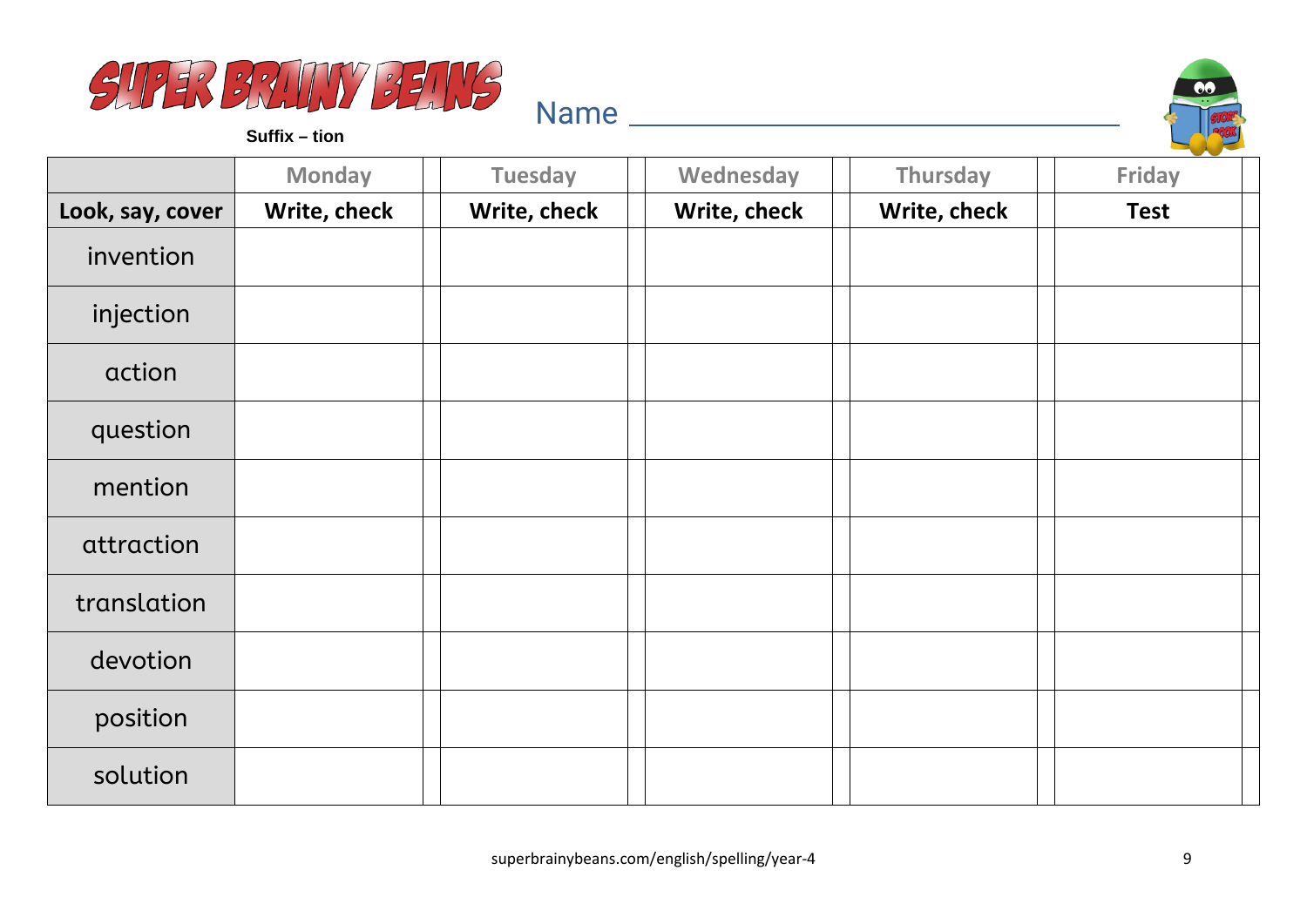



**Suffix – tion**

|                  | <b>Monday</b> | <b>Tuesday</b> | Wednesday    | Thursday     | <b>Friday</b> |
|------------------|---------------|----------------|--------------|--------------|---------------|
| Look, say, cover | Write, check  | Write, check   | Write, check | Write, check | <b>Test</b>   |
| invention        |               |                |              |              |               |
| injection        |               |                |              |              |               |
| action           |               |                |              |              |               |
| question         |               |                |              |              |               |
| mention          |               |                |              |              |               |
| attraction       |               |                |              |              |               |
| translation      |               |                |              |              |               |
| devotion         |               |                |              |              |               |
| position         |               |                |              |              |               |
| solution         |               |                |              |              |               |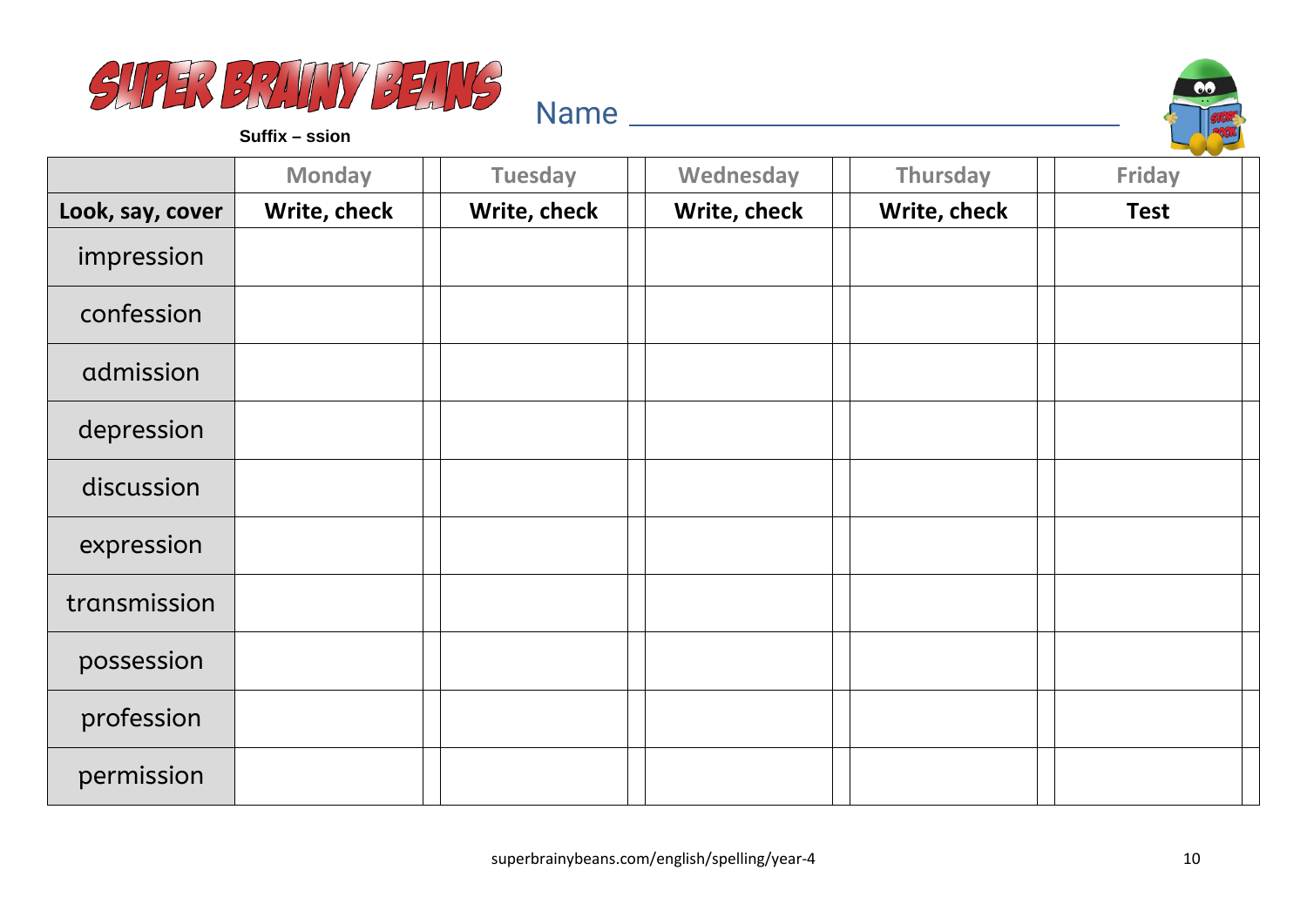



**Suffix – ssion**

|                  | <b>Monday</b> | <b>Tuesday</b> | Wednesday    | Thursday     | <b>Friday</b> |
|------------------|---------------|----------------|--------------|--------------|---------------|
| Look, say, cover | Write, check  | Write, check   | Write, check | Write, check | <b>Test</b>   |
| impression       |               |                |              |              |               |
| confession       |               |                |              |              |               |
| admission        |               |                |              |              |               |
| depression       |               |                |              |              |               |
| discussion       |               |                |              |              |               |
| expression       |               |                |              |              |               |
| transmission     |               |                |              |              |               |
| possession       |               |                |              |              |               |
| profession       |               |                |              |              |               |
| permission       |               |                |              |              |               |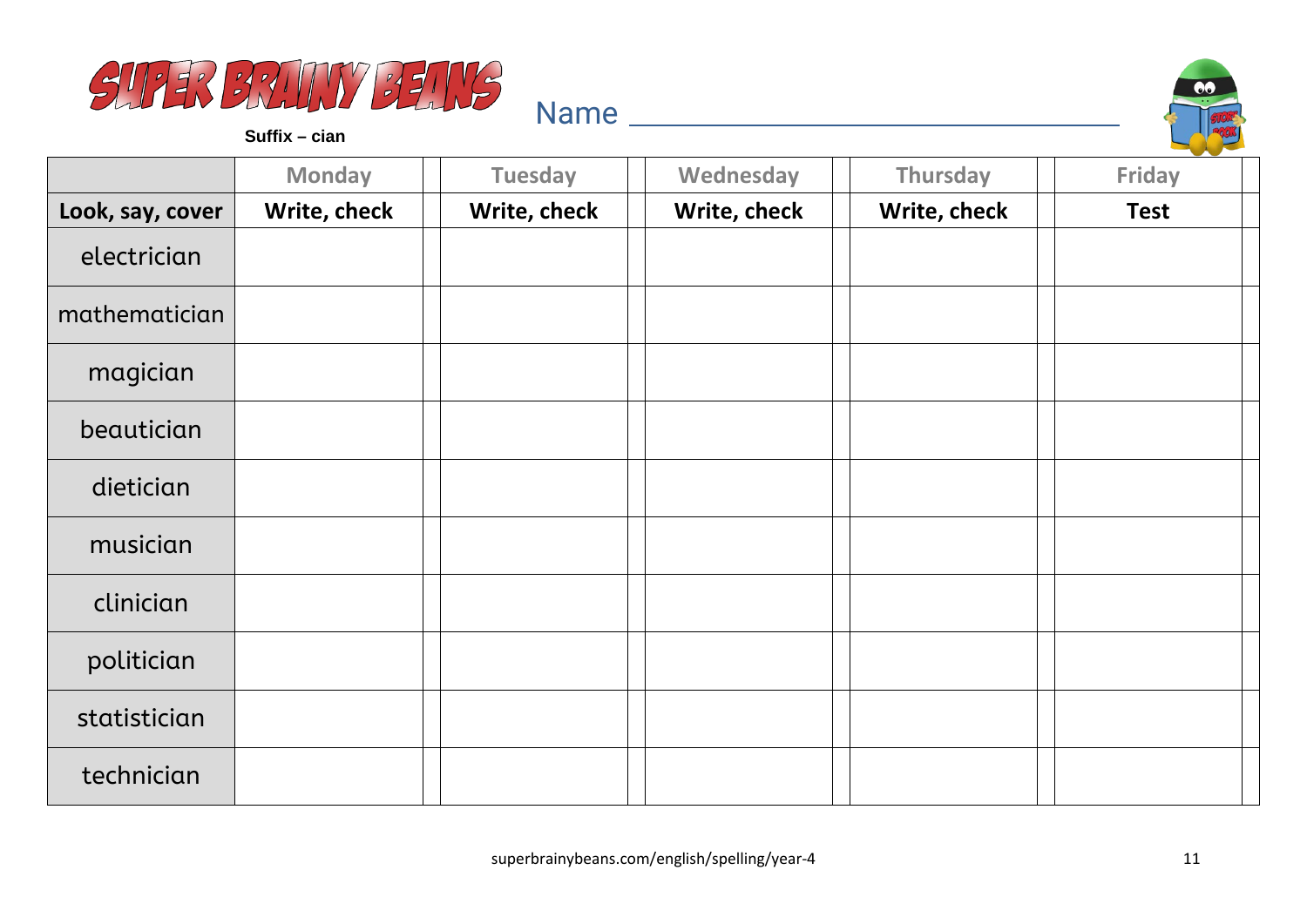



**Suffix – cian**

|                  | <b>Monday</b> | <b>Tuesday</b> | Wednesday    | Thursday     | <b>Friday</b> |
|------------------|---------------|----------------|--------------|--------------|---------------|
| Look, say, cover | Write, check  | Write, check   | Write, check | Write, check | <b>Test</b>   |
| electrician      |               |                |              |              |               |
| mathematician    |               |                |              |              |               |
| magician         |               |                |              |              |               |
| beautician       |               |                |              |              |               |
| dietician        |               |                |              |              |               |
| musician         |               |                |              |              |               |
| clinician        |               |                |              |              |               |
| politician       |               |                |              |              |               |
| statistician     |               |                |              |              |               |
| technician       |               |                |              |              |               |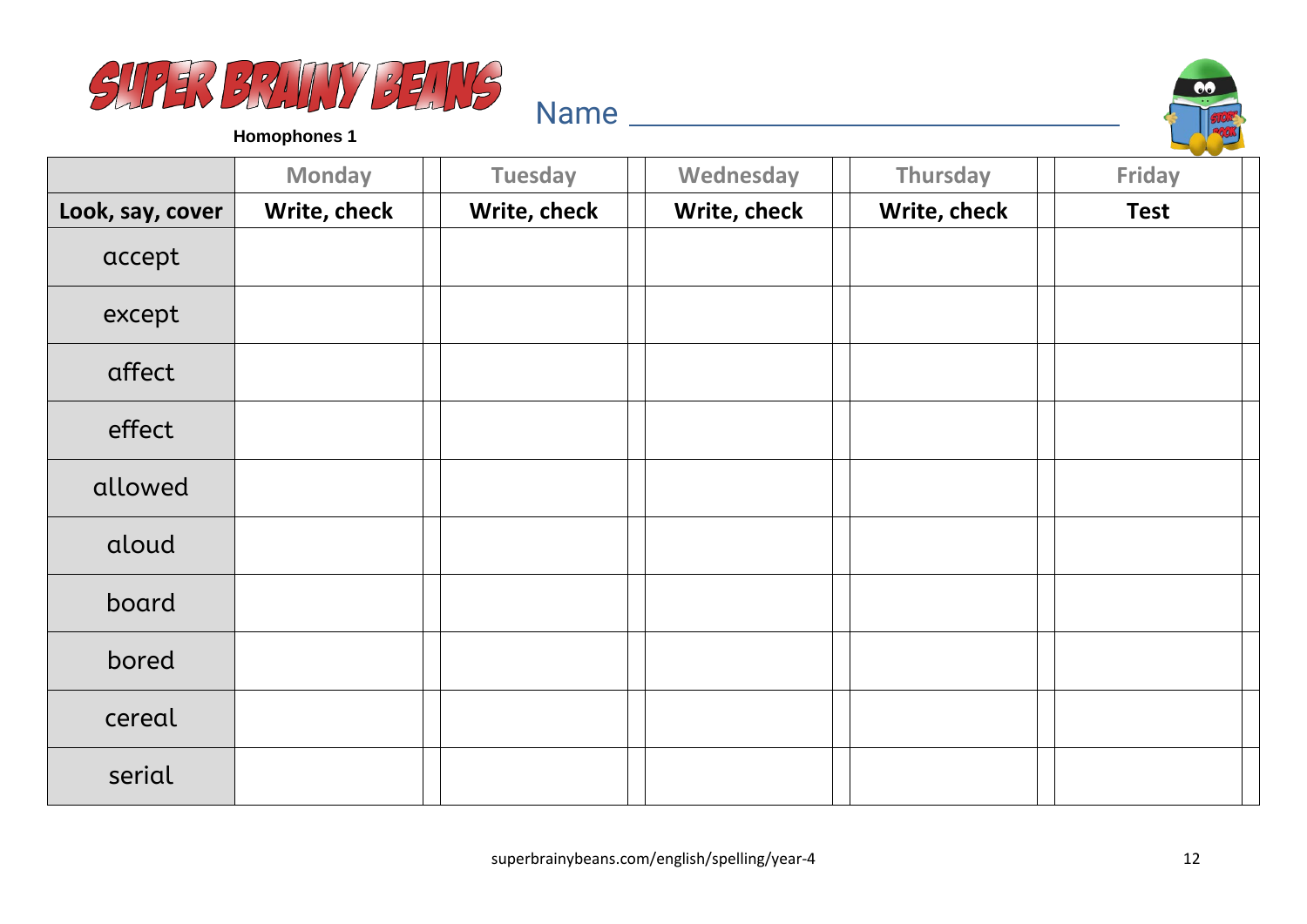



**Homophones 1**

|                  | <b>Monday</b> | <b>Tuesday</b> | Wednesday    | Thursday     | <b>Friday</b> |
|------------------|---------------|----------------|--------------|--------------|---------------|
| Look, say, cover | Write, check  | Write, check   | Write, check | Write, check | <b>Test</b>   |
| accept           |               |                |              |              |               |
| except           |               |                |              |              |               |
| affect           |               |                |              |              |               |
| effect           |               |                |              |              |               |
| allowed          |               |                |              |              |               |
| aloud            |               |                |              |              |               |
| board            |               |                |              |              |               |
| bored            |               |                |              |              |               |
| cereal           |               |                |              |              |               |
| serial           |               |                |              |              |               |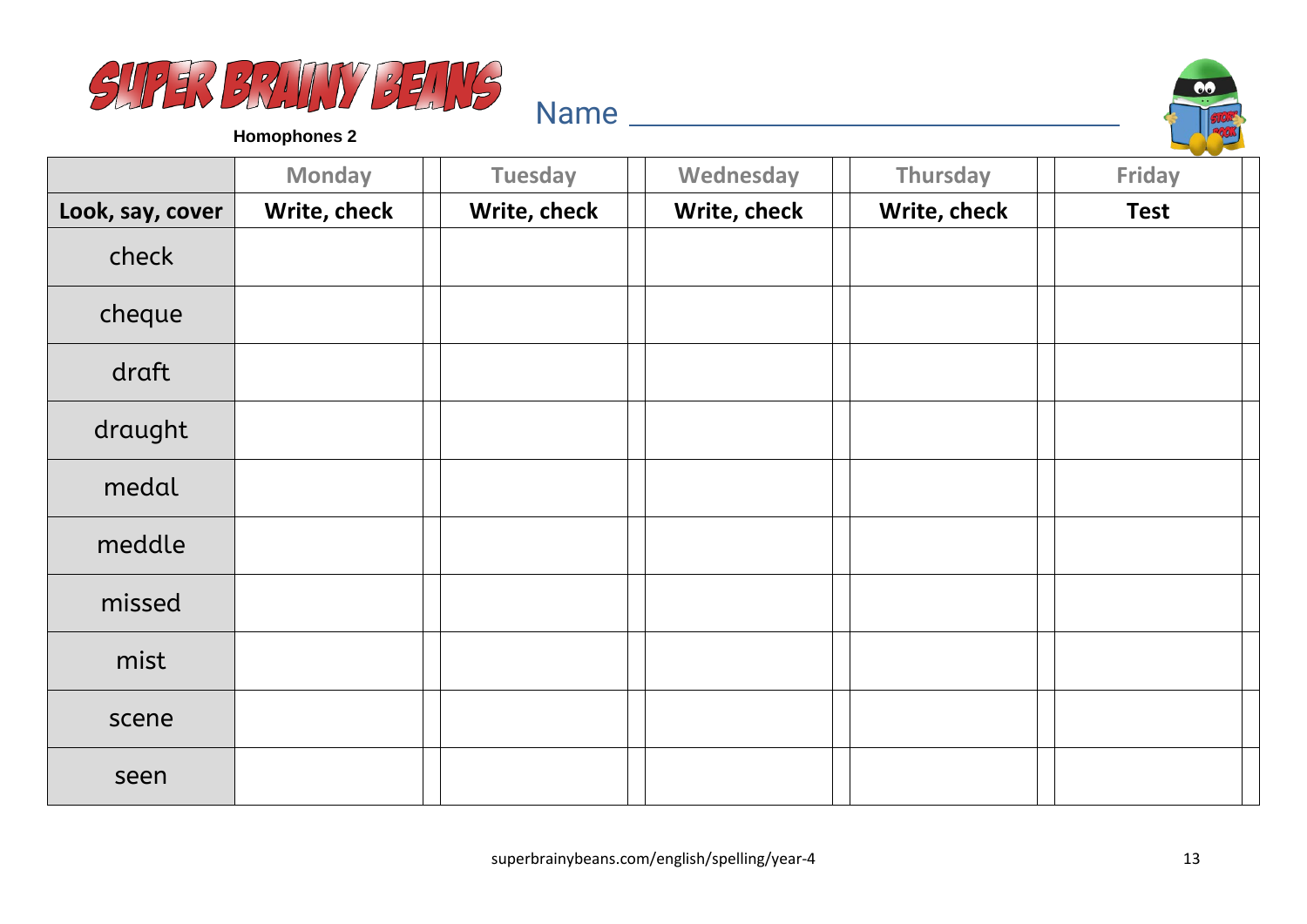



**Homophones 2**

|                  | <b>Monday</b> | <b>Tuesday</b> | Wednesday    | Thursday     | Friday      |
|------------------|---------------|----------------|--------------|--------------|-------------|
| Look, say, cover | Write, check  | Write, check   | Write, check | Write, check | <b>Test</b> |
| check            |               |                |              |              |             |
| cheque           |               |                |              |              |             |
| draft            |               |                |              |              |             |
| draught          |               |                |              |              |             |
| medal            |               |                |              |              |             |
| meddle           |               |                |              |              |             |
| missed           |               |                |              |              |             |
| mist             |               |                |              |              |             |
| scene            |               |                |              |              |             |
| seen             |               |                |              |              |             |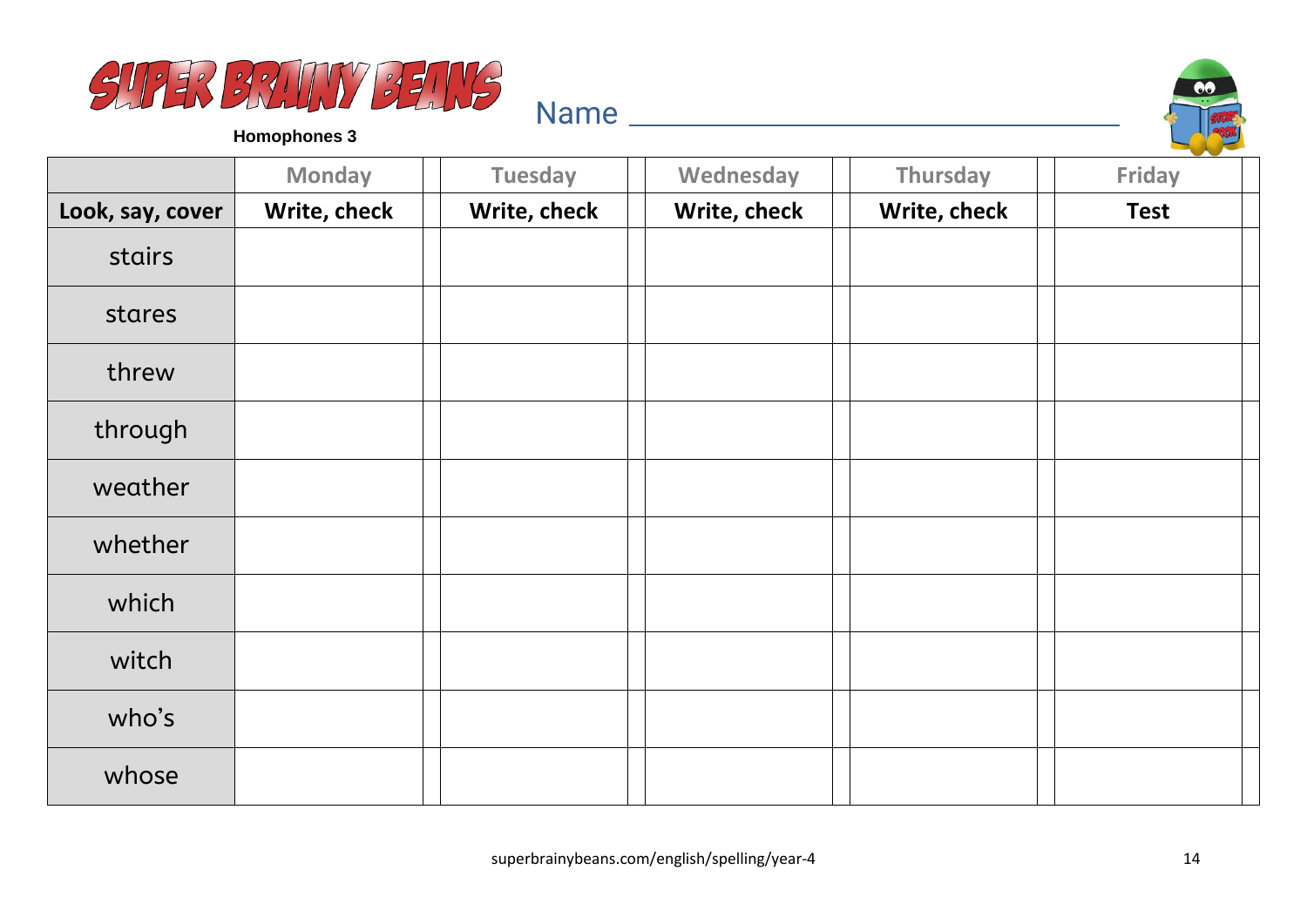



**Homophones 3**

|                  | <b>Monday</b> | <b>Tuesday</b> | Wednesday    | Thursday     | Friday      |
|------------------|---------------|----------------|--------------|--------------|-------------|
| Look, say, cover | Write, check  | Write, check   | Write, check | Write, check | <b>Test</b> |
| stairs           |               |                |              |              |             |
| stares           |               |                |              |              |             |
| threw            |               |                |              |              |             |
| through          |               |                |              |              |             |
| weather          |               |                |              |              |             |
| whether          |               |                |              |              |             |
| which            |               |                |              |              |             |
| witch            |               |                |              |              |             |
| who's            |               |                |              |              |             |
| whose            |               |                |              |              |             |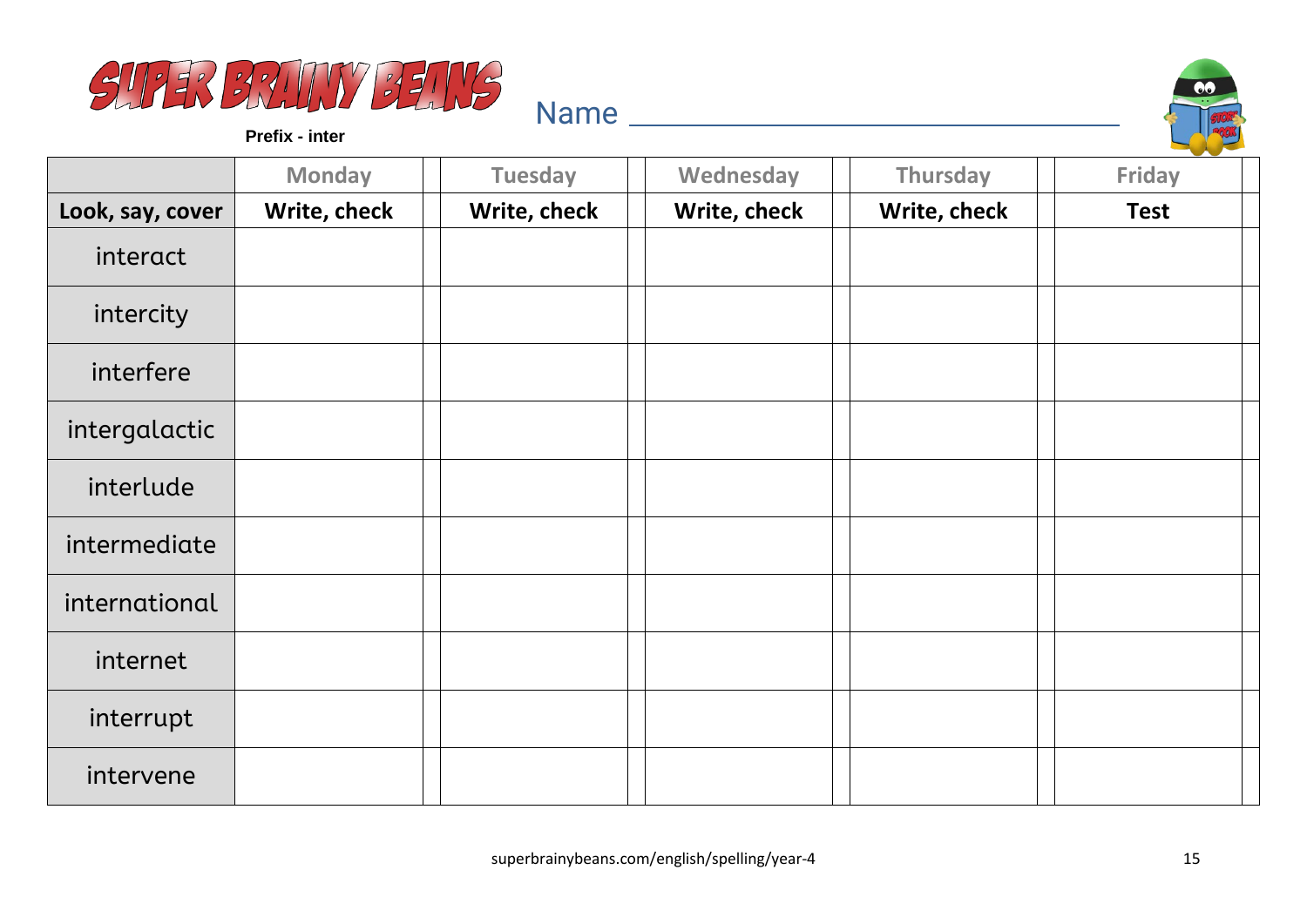



**Prefix - inter**

|                  | <b>Monday</b> | <b>Tuesday</b> | Wednesday    | Thursday     | --<br><b>Friday</b> |
|------------------|---------------|----------------|--------------|--------------|---------------------|
| Look, say, cover | Write, check  | Write, check   | Write, check | Write, check | <b>Test</b>         |
| interact         |               |                |              |              |                     |
| intercity        |               |                |              |              |                     |
| interfere        |               |                |              |              |                     |
| intergalactic    |               |                |              |              |                     |
| interlude        |               |                |              |              |                     |
| intermediate     |               |                |              |              |                     |
| international    |               |                |              |              |                     |
| internet         |               |                |              |              |                     |
| interrupt        |               |                |              |              |                     |
| intervene        |               |                |              |              |                     |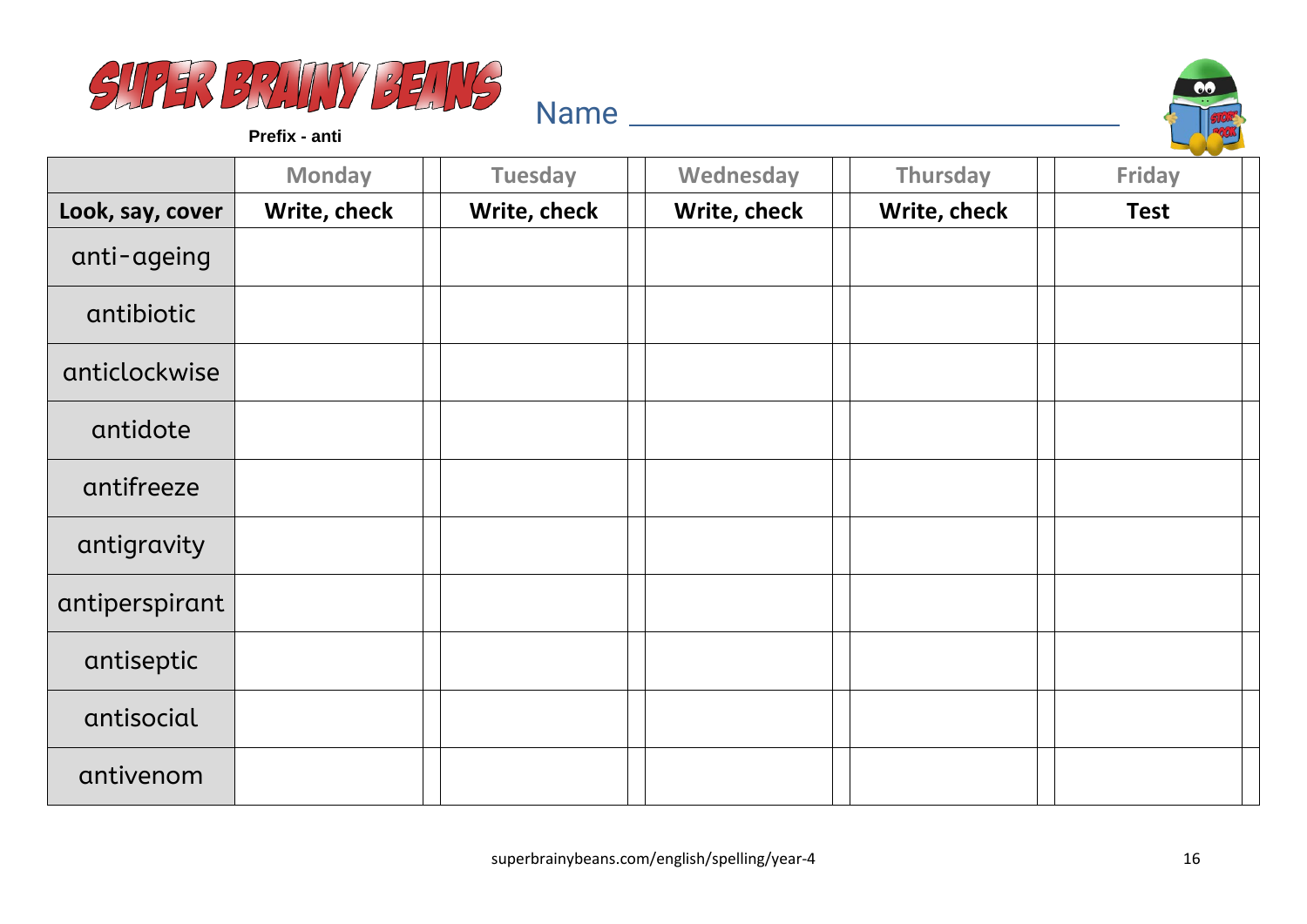



**Prefix - anti**

|                  | <b>Monday</b> | <b>Tuesday</b> | Wednesday    | Thursday     | Friday      |
|------------------|---------------|----------------|--------------|--------------|-------------|
| Look, say, cover | Write, check  | Write, check   | Write, check | Write, check | <b>Test</b> |
| anti-ageing      |               |                |              |              |             |
| antibiotic       |               |                |              |              |             |
| anticlockwise    |               |                |              |              |             |
| antidote         |               |                |              |              |             |
| antifreeze       |               |                |              |              |             |
| antigravity      |               |                |              |              |             |
| antiperspirant   |               |                |              |              |             |
| antiseptic       |               |                |              |              |             |
| antisocial       |               |                |              |              |             |
| antivenom        |               |                |              |              |             |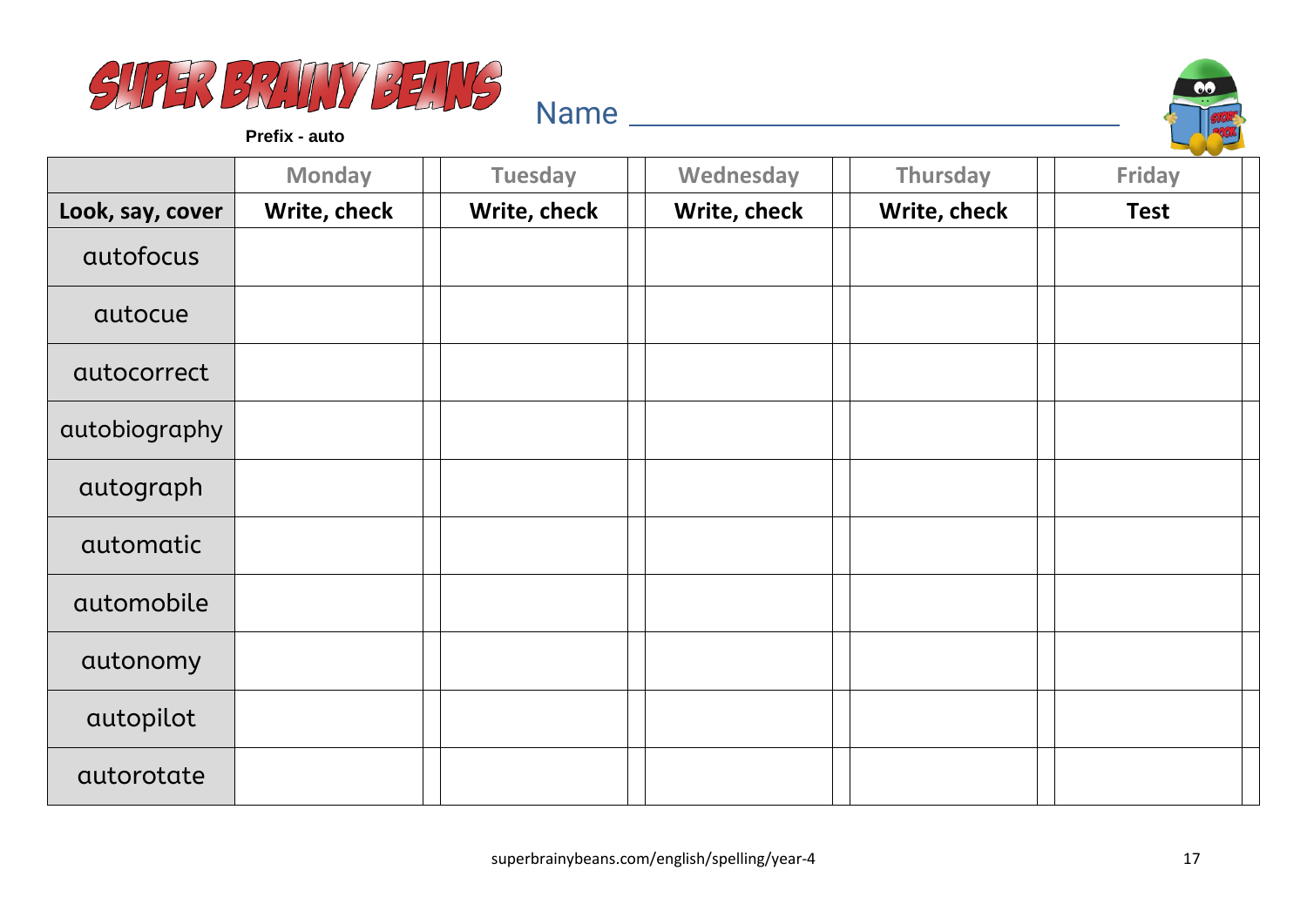



**Prefix - auto**

|                  | <b>Monday</b> | <b>Tuesday</b> | Wednesday    | Thursday     | and the state of the con-<br>Friday |
|------------------|---------------|----------------|--------------|--------------|-------------------------------------|
| Look, say, cover | Write, check  | Write, check   | Write, check | Write, check | <b>Test</b>                         |
| autofocus        |               |                |              |              |                                     |
| autocue          |               |                |              |              |                                     |
| autocorrect      |               |                |              |              |                                     |
| autobiography    |               |                |              |              |                                     |
| autograph        |               |                |              |              |                                     |
| automatic        |               |                |              |              |                                     |
| automobile       |               |                |              |              |                                     |
| autonomy         |               |                |              |              |                                     |
| autopilot        |               |                |              |              |                                     |
| autorotate       |               |                |              |              |                                     |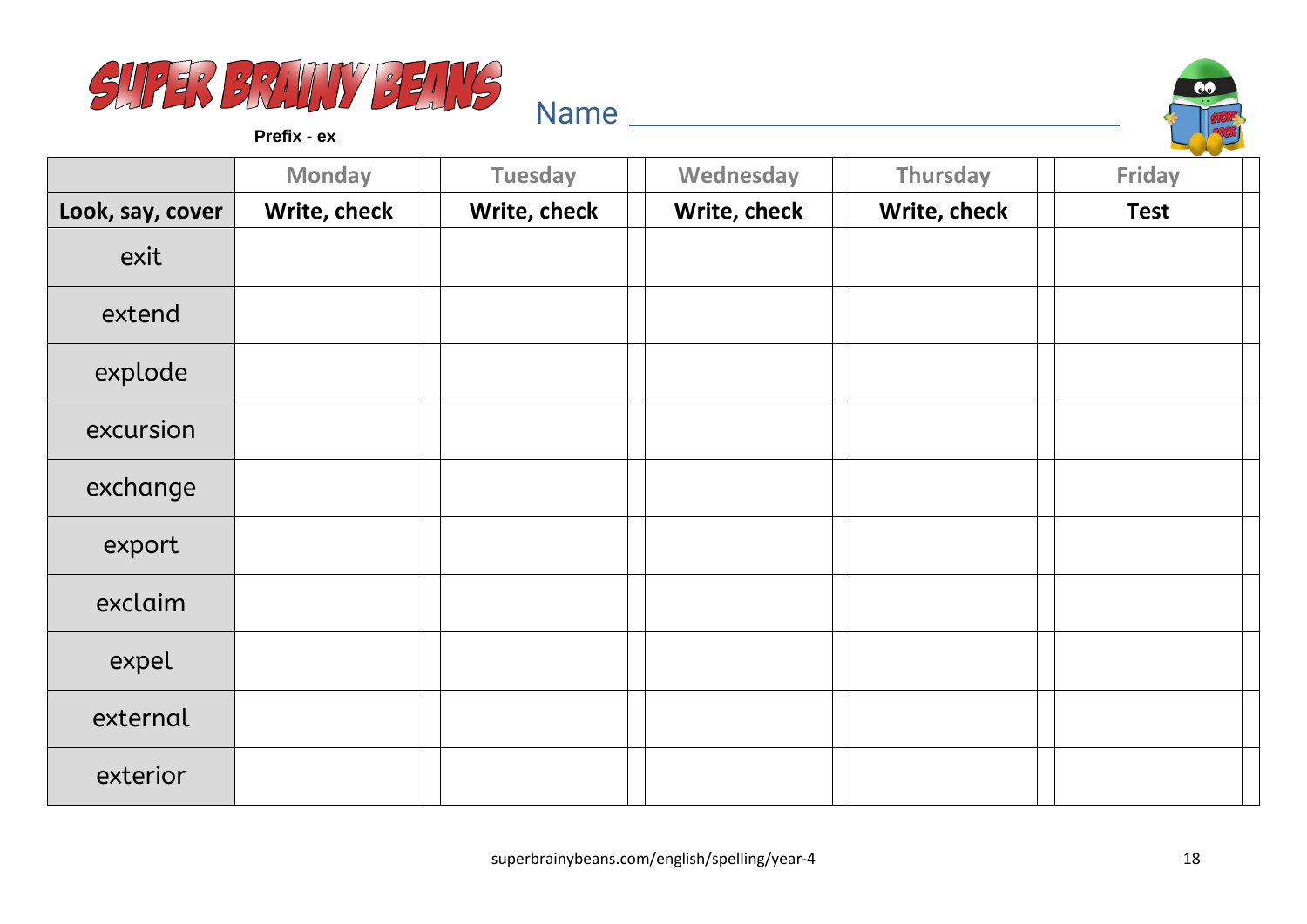



**Prefix - ex**

|                  | <b>Monday</b> | <b>Tuesday</b> | Wednesday    | Thursday     | <b>Contract Contract Contract</b><br>Friday |
|------------------|---------------|----------------|--------------|--------------|---------------------------------------------|
| Look, say, cover | Write, check  | Write, check   | Write, check | Write, check | <b>Test</b>                                 |
| exit             |               |                |              |              |                                             |
| extend           |               |                |              |              |                                             |
| explode          |               |                |              |              |                                             |
| excursion        |               |                |              |              |                                             |
| exchange         |               |                |              |              |                                             |
| export           |               |                |              |              |                                             |
| exclaim          |               |                |              |              |                                             |
| expel            |               |                |              |              |                                             |
| external         |               |                |              |              |                                             |
| exterior         |               |                |              |              |                                             |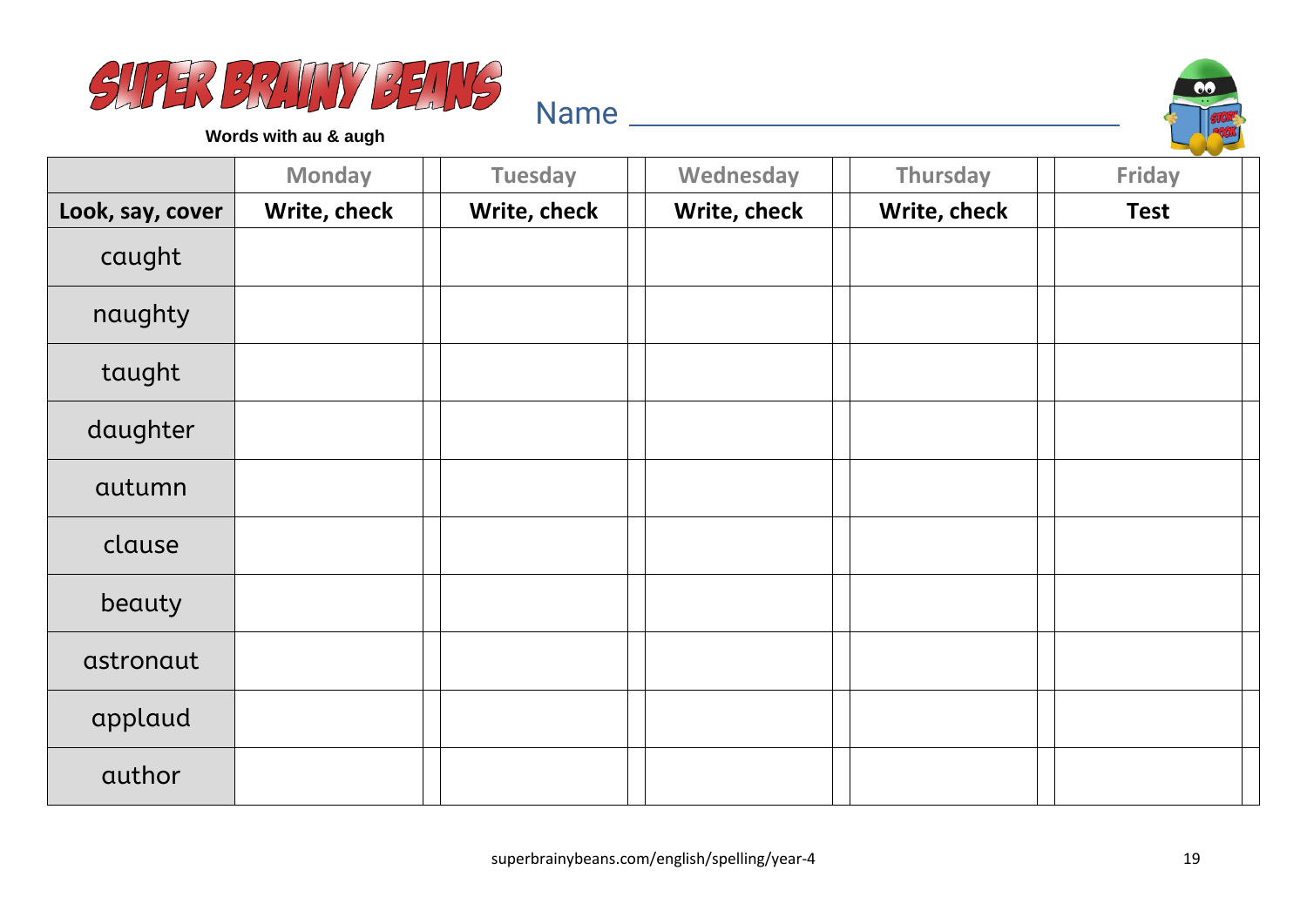



**Words with au & augh**

|                  | <b>Monday</b> | <b>Tuesday</b> | Wednesday    | Thursday     | <b>Friday</b> |
|------------------|---------------|----------------|--------------|--------------|---------------|
| Look, say, cover | Write, check  | Write, check   | Write, check | Write, check | <b>Test</b>   |
| caught           |               |                |              |              |               |
| naughty          |               |                |              |              |               |
| taught           |               |                |              |              |               |
| daughter         |               |                |              |              |               |
| autumn           |               |                |              |              |               |
| clause           |               |                |              |              |               |
| beauty           |               |                |              |              |               |
| astronaut        |               |                |              |              |               |
| applaud          |               |                |              |              |               |
| author           |               |                |              |              |               |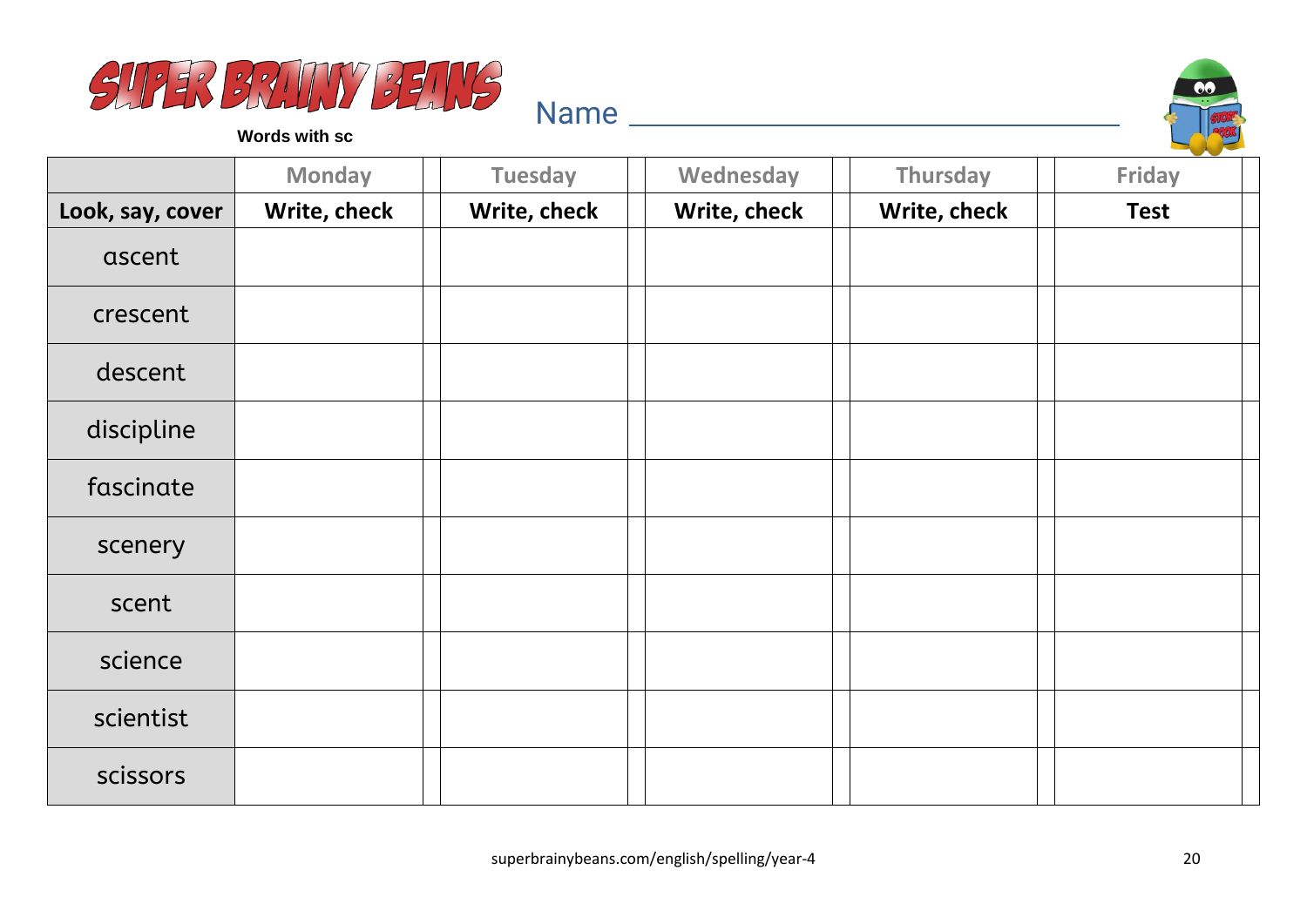



**Words with sc**

|                  | <b>Monday</b> | <b>Tuesday</b> | Wednesday    | Thursday     | Friday      |
|------------------|---------------|----------------|--------------|--------------|-------------|
| Look, say, cover | Write, check  | Write, check   | Write, check | Write, check | <b>Test</b> |
| ascent           |               |                |              |              |             |
| crescent         |               |                |              |              |             |
| descent          |               |                |              |              |             |
| discipline       |               |                |              |              |             |
| fascinate        |               |                |              |              |             |
| scenery          |               |                |              |              |             |
| scent            |               |                |              |              |             |
| science          |               |                |              |              |             |
| scientist        |               |                |              |              |             |
| scissors         |               |                |              |              |             |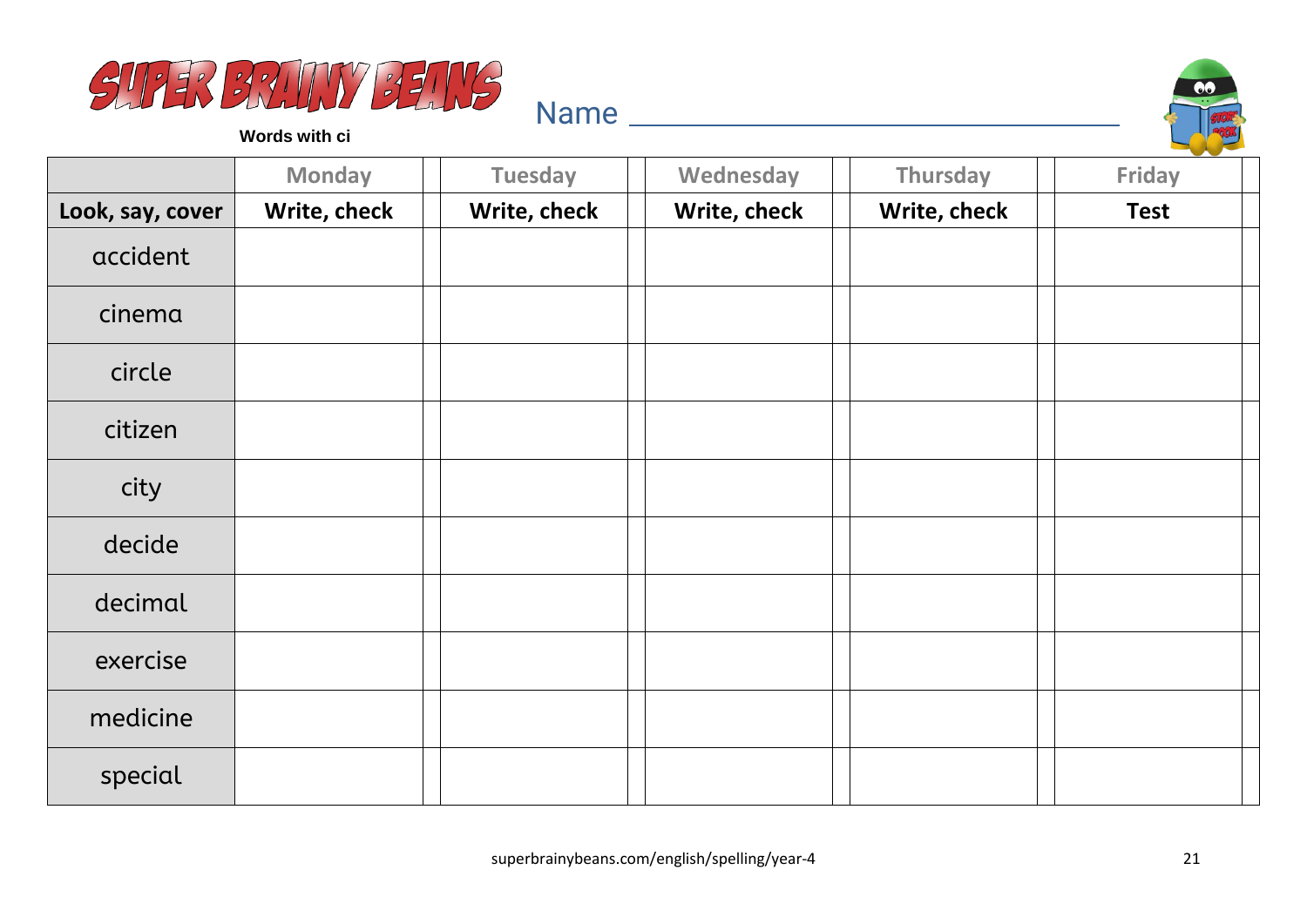



**Words with ci**

|                  | <b>Monday</b> | <b>Tuesday</b> | Wednesday    | Thursday     | <b>Friday</b> |
|------------------|---------------|----------------|--------------|--------------|---------------|
| Look, say, cover | Write, check  | Write, check   | Write, check | Write, check | <b>Test</b>   |
| accident         |               |                |              |              |               |
| cinema           |               |                |              |              |               |
| circle           |               |                |              |              |               |
| citizen          |               |                |              |              |               |
| city             |               |                |              |              |               |
| decide           |               |                |              |              |               |
| decimal          |               |                |              |              |               |
| exercise         |               |                |              |              |               |
| medicine         |               |                |              |              |               |
| special          |               |                |              |              |               |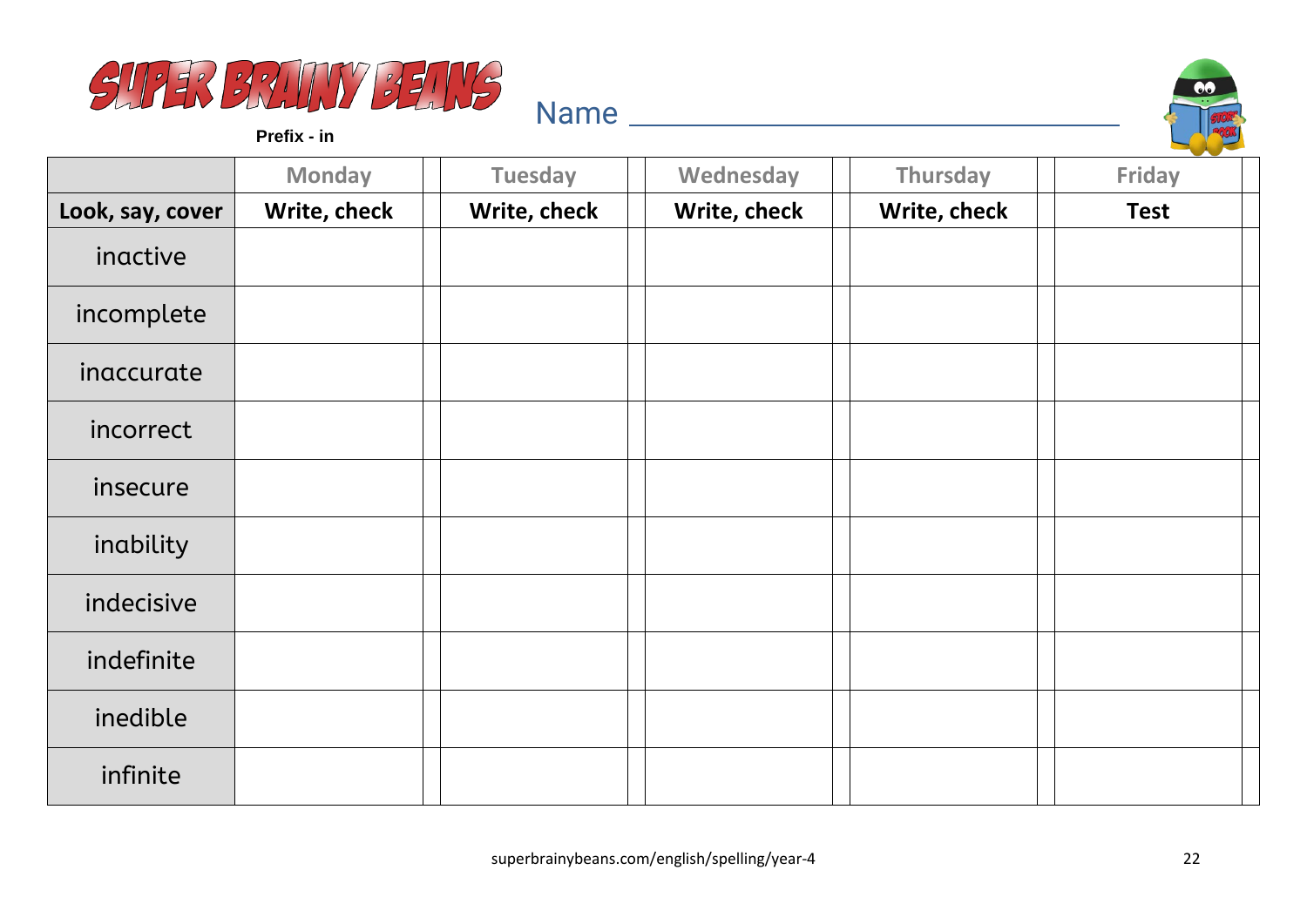



**Prefix - in**

|                  | <b>Monday</b> | <b>Tuesday</b> | Wednesday    | <b>Thursday</b> | <b>Friday</b> |
|------------------|---------------|----------------|--------------|-----------------|---------------|
| Look, say, cover | Write, check  | Write, check   | Write, check | Write, check    | <b>Test</b>   |
| inactive         |               |                |              |                 |               |
| incomplete       |               |                |              |                 |               |
| inaccurate       |               |                |              |                 |               |
| incorrect        |               |                |              |                 |               |
| insecure         |               |                |              |                 |               |
| inability        |               |                |              |                 |               |
| indecisive       |               |                |              |                 |               |
| indefinite       |               |                |              |                 |               |
| inedible         |               |                |              |                 |               |
| infinite         |               |                |              |                 |               |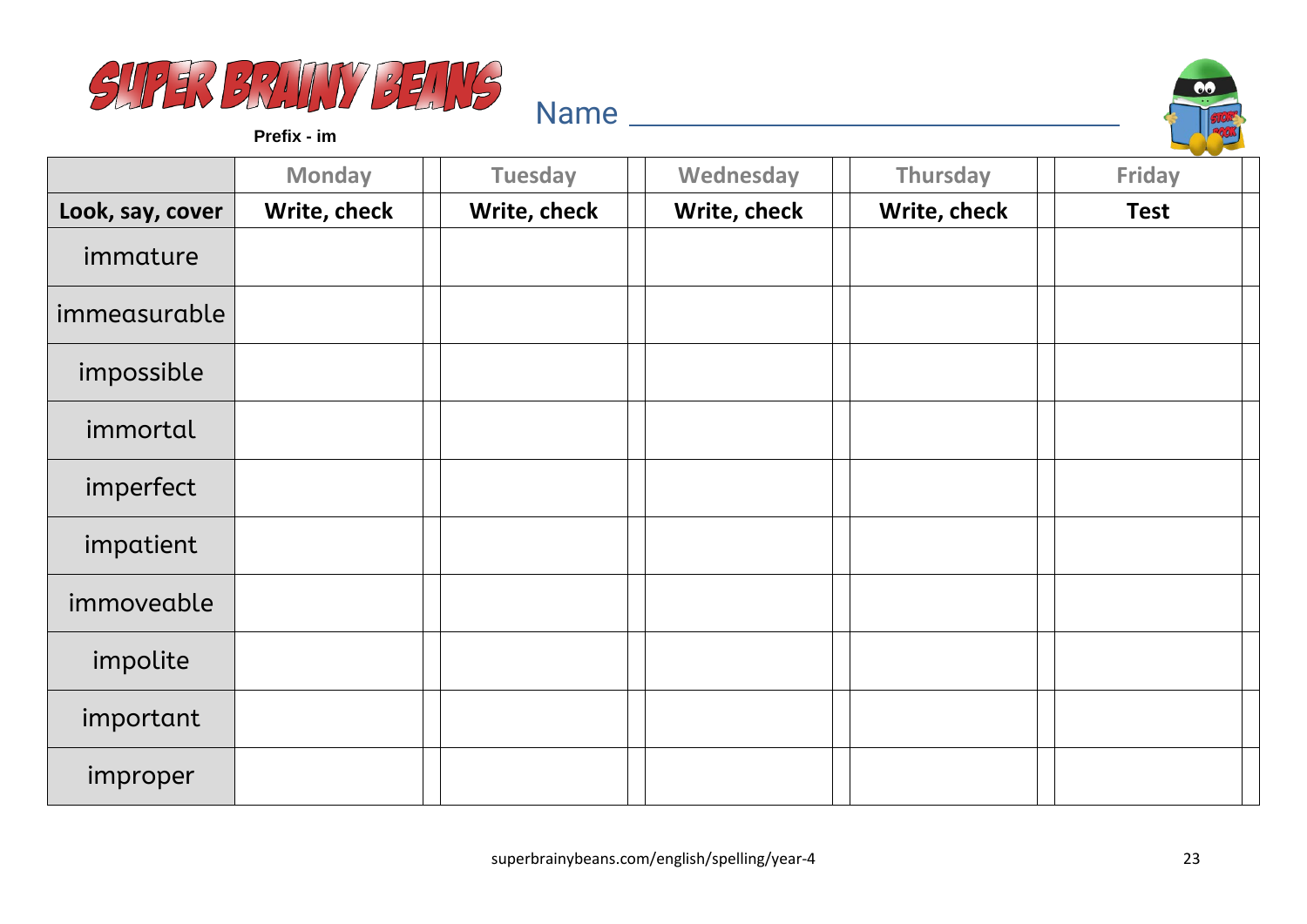



**Prefix - im**

|                  | <b>Monday</b> | <b>Tuesday</b> | Wednesday    | Thursday     | Friday      |
|------------------|---------------|----------------|--------------|--------------|-------------|
| Look, say, cover | Write, check  | Write, check   | Write, check | Write, check | <b>Test</b> |
| immature         |               |                |              |              |             |
| immeasurable     |               |                |              |              |             |
| impossible       |               |                |              |              |             |
| immortal         |               |                |              |              |             |
| imperfect        |               |                |              |              |             |
| impatient        |               |                |              |              |             |
| immoveable       |               |                |              |              |             |
| impolite         |               |                |              |              |             |
| important        |               |                |              |              |             |
| improper         |               |                |              |              |             |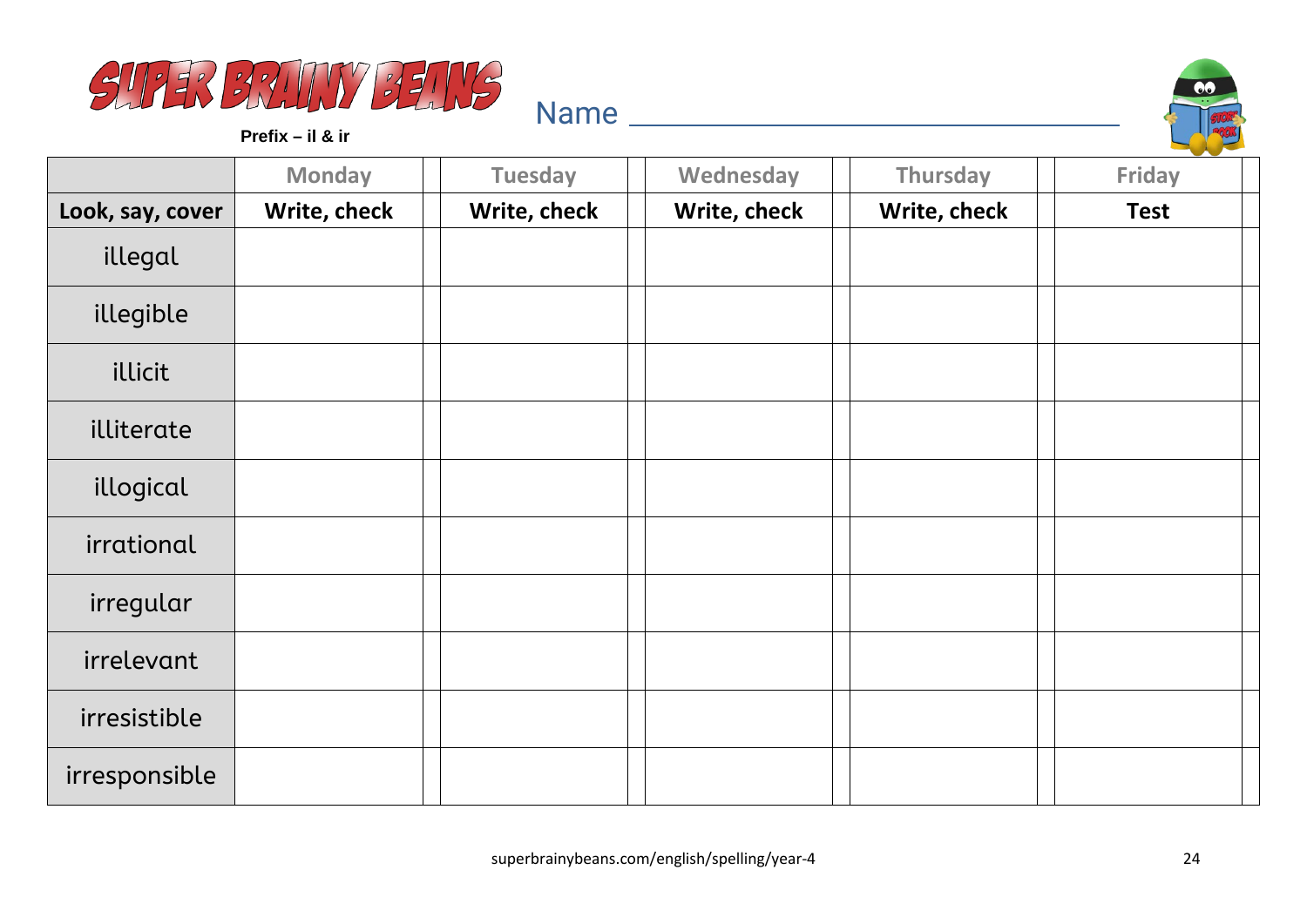



**Prefix – il & ir**

|                  | <b>Monday</b> | <b>Tuesday</b> | Wednesday    | Thursday     | Friday      |
|------------------|---------------|----------------|--------------|--------------|-------------|
| Look, say, cover | Write, check  | Write, check   | Write, check | Write, check | <b>Test</b> |
| illegal          |               |                |              |              |             |
| illegible        |               |                |              |              |             |
| illicit          |               |                |              |              |             |
| illiterate       |               |                |              |              |             |
| illogical        |               |                |              |              |             |
| irrational       |               |                |              |              |             |
| irregular        |               |                |              |              |             |
| irrelevant       |               |                |              |              |             |
| irresistible     |               |                |              |              |             |
| irresponsible    |               |                |              |              |             |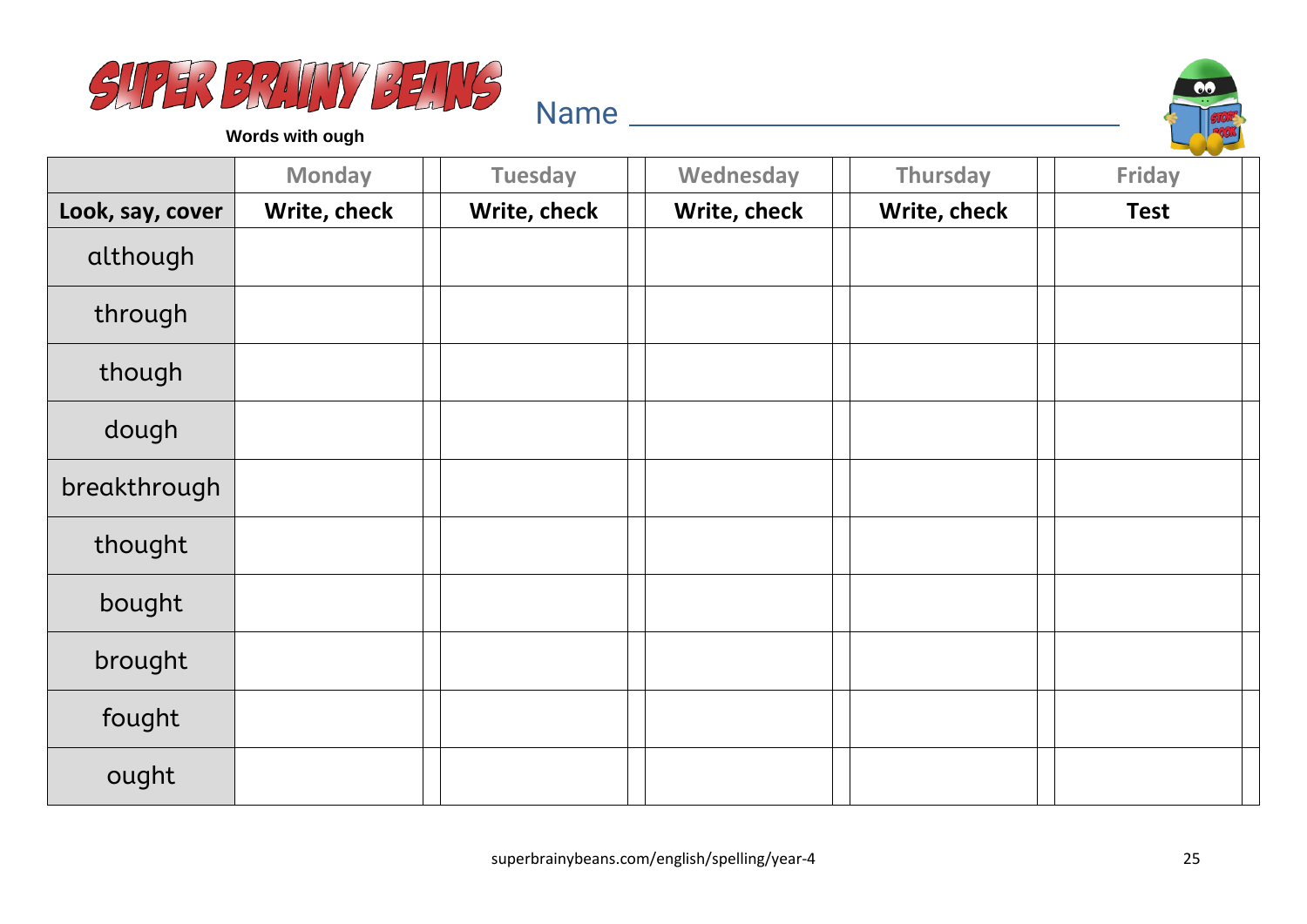



**Words with ough**

|                  | <b>Monday</b> | <b>Tuesday</b> | Wednesday    | <b>Thursday</b> | <b>Friday</b> |
|------------------|---------------|----------------|--------------|-----------------|---------------|
| Look, say, cover | Write, check  | Write, check   | Write, check | Write, check    | <b>Test</b>   |
| although         |               |                |              |                 |               |
| through          |               |                |              |                 |               |
| though           |               |                |              |                 |               |
| dough            |               |                |              |                 |               |
| breakthrough     |               |                |              |                 |               |
| thought          |               |                |              |                 |               |
| bought           |               |                |              |                 |               |
| brought          |               |                |              |                 |               |
| fought           |               |                |              |                 |               |
| ought            |               |                |              |                 |               |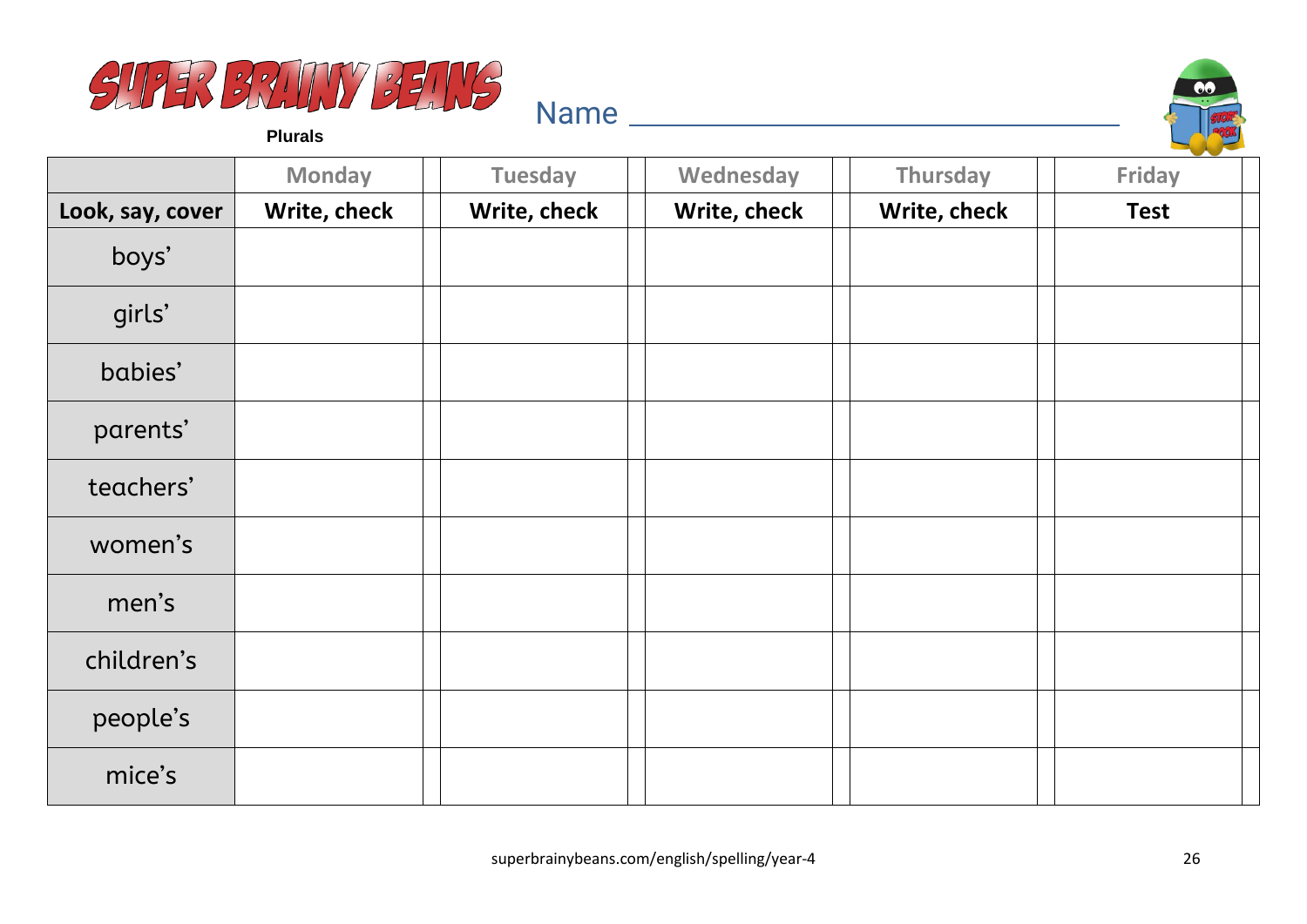



**Plurals**

|                  | <b>Monday</b> | <b>Tuesday</b> | Wednesday    | Thursday     | and the state of the con-<br>Friday |
|------------------|---------------|----------------|--------------|--------------|-------------------------------------|
| Look, say, cover | Write, check  | Write, check   | Write, check | Write, check | <b>Test</b>                         |
| boys'            |               |                |              |              |                                     |
| girls'           |               |                |              |              |                                     |
| babies'          |               |                |              |              |                                     |
| parents'         |               |                |              |              |                                     |
| teachers'        |               |                |              |              |                                     |
| women's          |               |                |              |              |                                     |
| men's            |               |                |              |              |                                     |
| children's       |               |                |              |              |                                     |
| people's         |               |                |              |              |                                     |
| mice's           |               |                |              |              |                                     |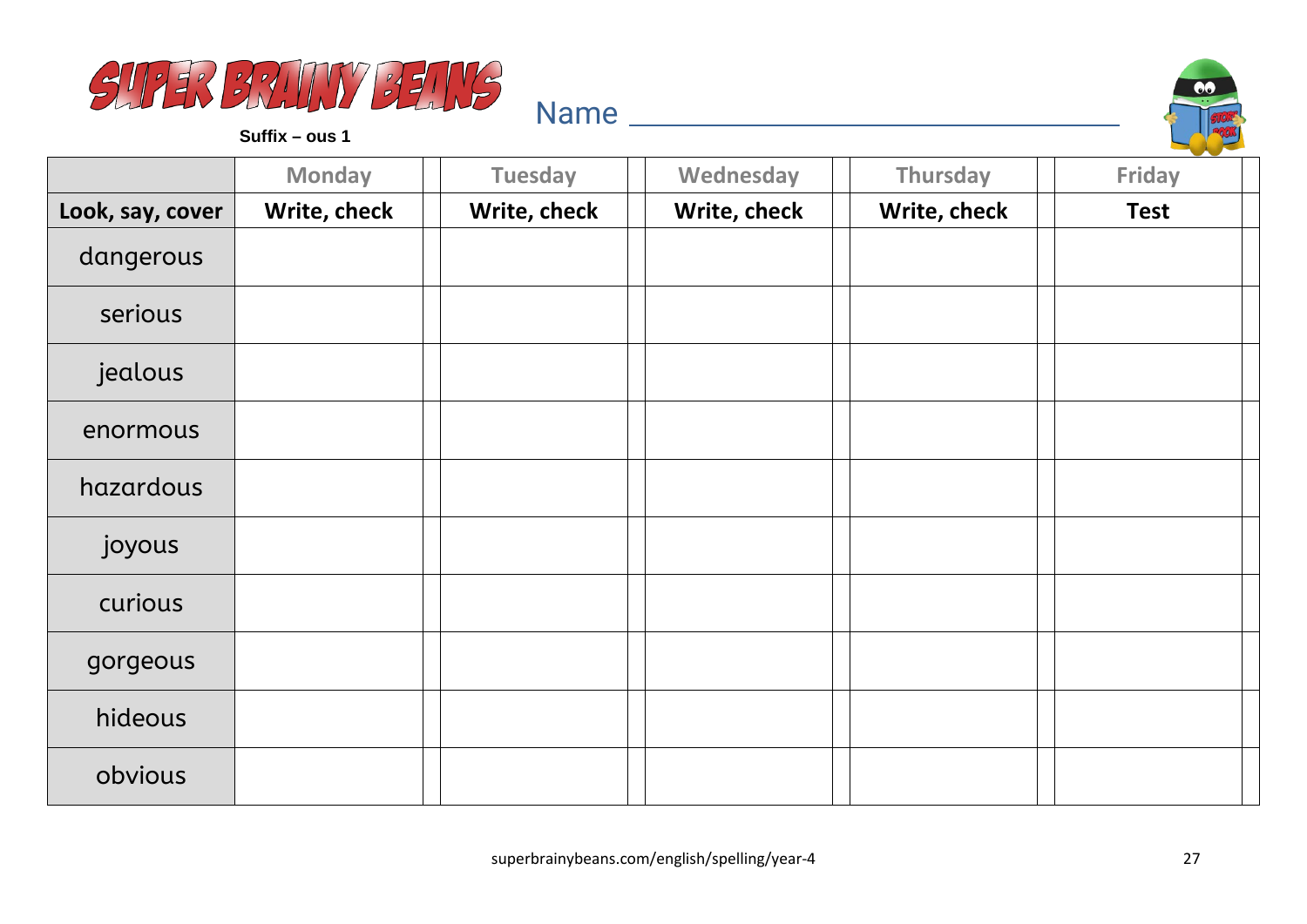



|                  | <b>Monday</b> | <b>Tuesday</b> | Wednesday    | Thursday     | <b>Friday</b> |
|------------------|---------------|----------------|--------------|--------------|---------------|
| Look, say, cover | Write, check  | Write, check   | Write, check | Write, check | <b>Test</b>   |
| dangerous        |               |                |              |              |               |
| serious          |               |                |              |              |               |
| jealous          |               |                |              |              |               |
| enormous         |               |                |              |              |               |
| hazardous        |               |                |              |              |               |
| joyous           |               |                |              |              |               |
| curious          |               |                |              |              |               |
| gorgeous         |               |                |              |              |               |
| hideous          |               |                |              |              |               |
| obvious          |               |                |              |              |               |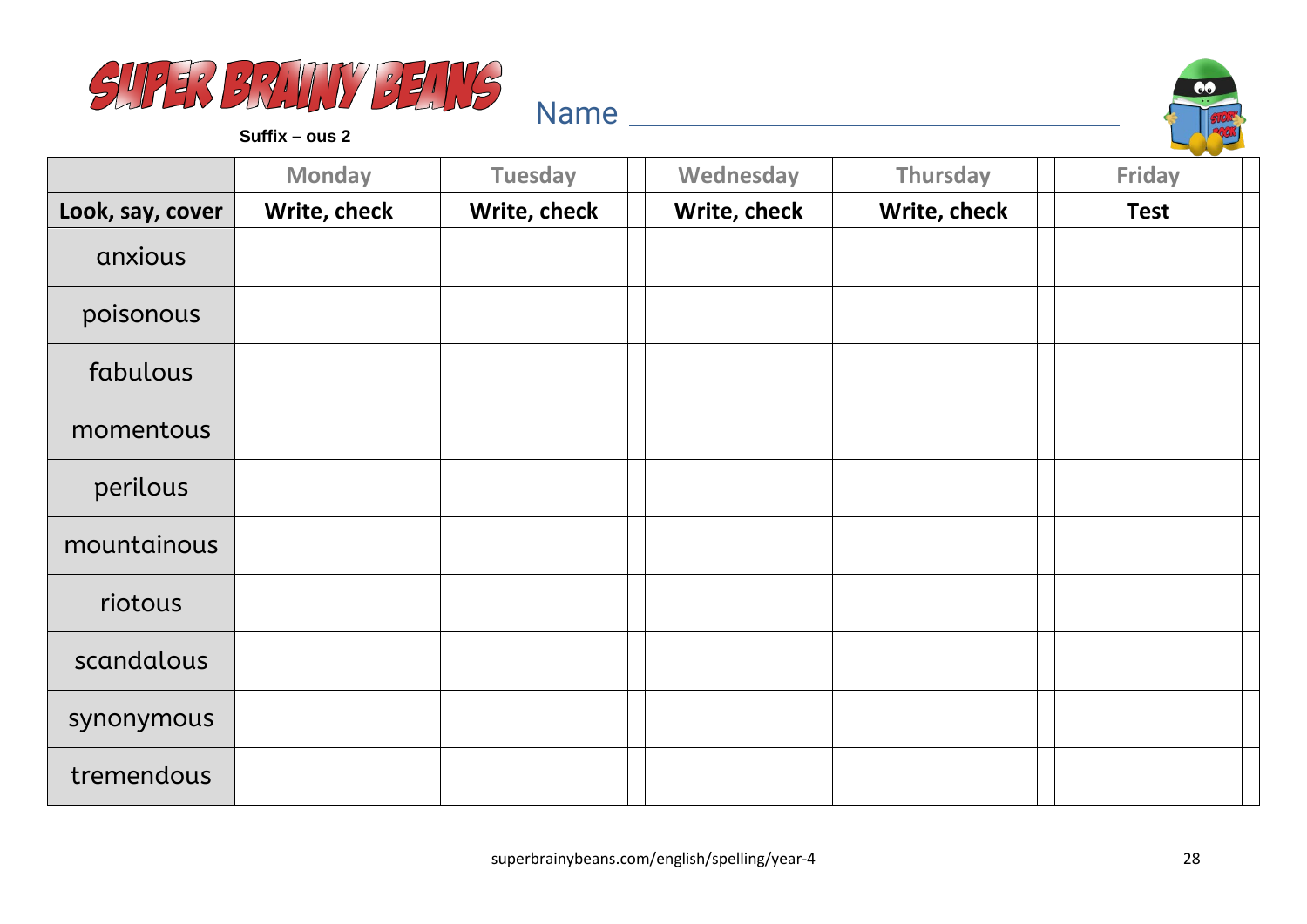



|                  | <b>Monday</b> | <b>Tuesday</b> | Wednesday    | Thursday     | <b>Friday</b> |
|------------------|---------------|----------------|--------------|--------------|---------------|
| Look, say, cover | Write, check  | Write, check   | Write, check | Write, check | <b>Test</b>   |
| anxious          |               |                |              |              |               |
| poisonous        |               |                |              |              |               |
| fabulous         |               |                |              |              |               |
| momentous        |               |                |              |              |               |
| perilous         |               |                |              |              |               |
| mountainous      |               |                |              |              |               |
| riotous          |               |                |              |              |               |
| scandalous       |               |                |              |              |               |
| synonymous       |               |                |              |              |               |
| tremendous       |               |                |              |              |               |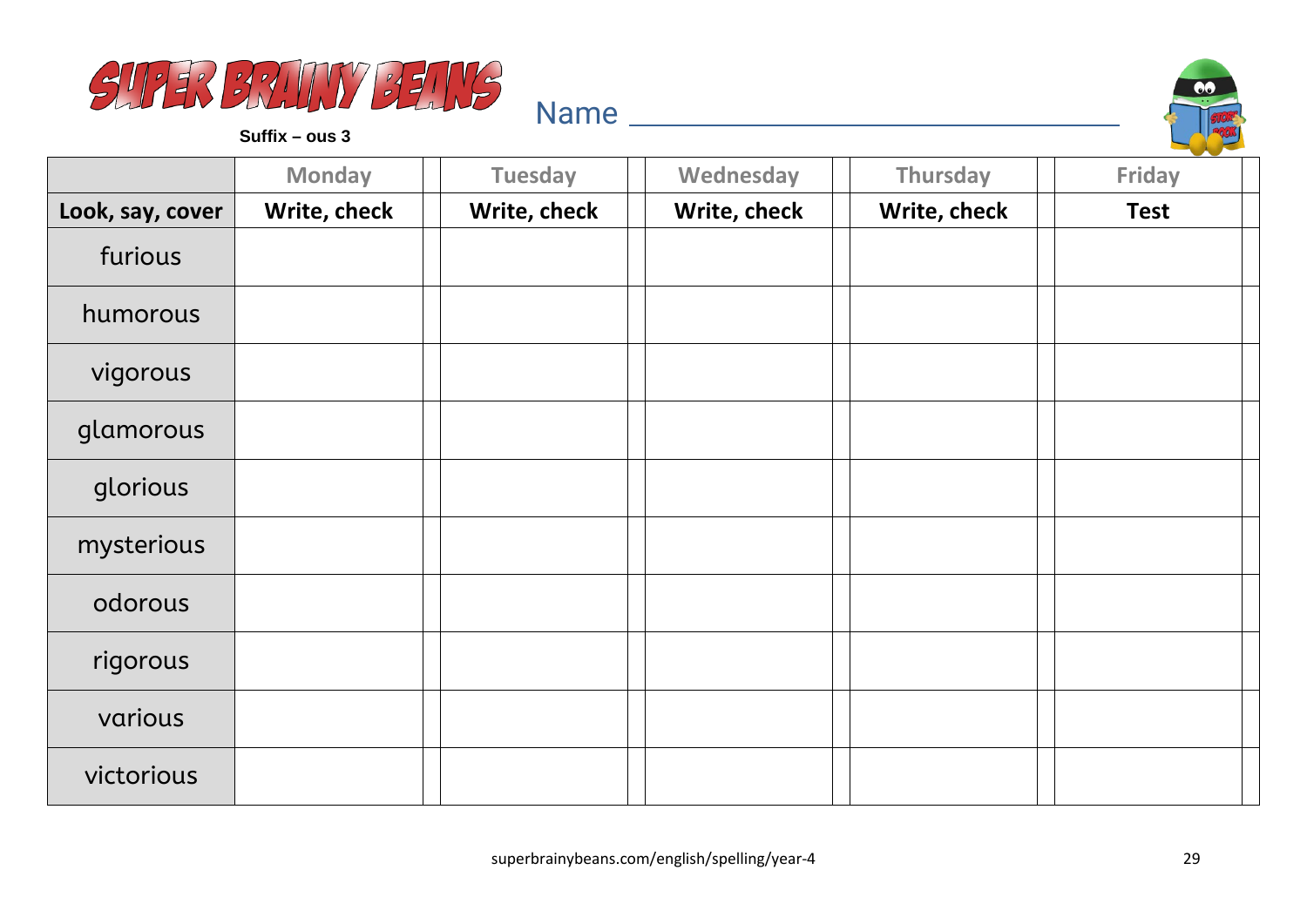



|                  | <b>Monday</b> | <b>Tuesday</b> | Wednesday    | Thursday     | Friday      |
|------------------|---------------|----------------|--------------|--------------|-------------|
| Look, say, cover | Write, check  | Write, check   | Write, check | Write, check | <b>Test</b> |
| furious          |               |                |              |              |             |
| humorous         |               |                |              |              |             |
| vigorous         |               |                |              |              |             |
| glamorous        |               |                |              |              |             |
| glorious         |               |                |              |              |             |
| mysterious       |               |                |              |              |             |
| odorous          |               |                |              |              |             |
| rigorous         |               |                |              |              |             |
| various          |               |                |              |              |             |
| victorious       |               |                |              |              |             |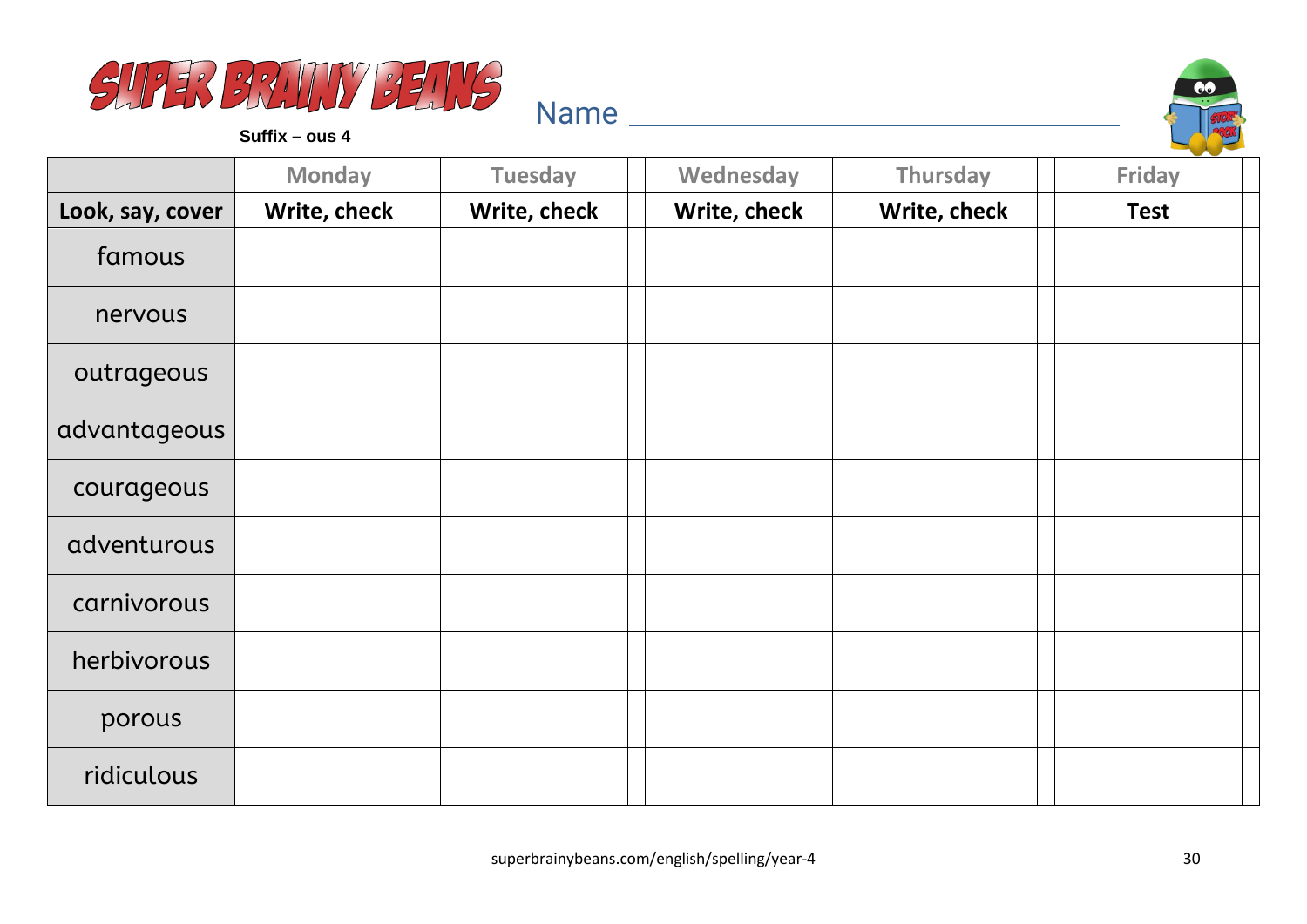



|                  | <b>Monday</b> | <b>Tuesday</b> | Wednesday    | Thursday     | <b>Friday</b> |
|------------------|---------------|----------------|--------------|--------------|---------------|
| Look, say, cover | Write, check  | Write, check   | Write, check | Write, check | <b>Test</b>   |
| famous           |               |                |              |              |               |
| nervous          |               |                |              |              |               |
| outrageous       |               |                |              |              |               |
| advantageous     |               |                |              |              |               |
| courageous       |               |                |              |              |               |
| adventurous      |               |                |              |              |               |
| carnivorous      |               |                |              |              |               |
| herbivorous      |               |                |              |              |               |
| porous           |               |                |              |              |               |
| ridiculous       |               |                |              |              |               |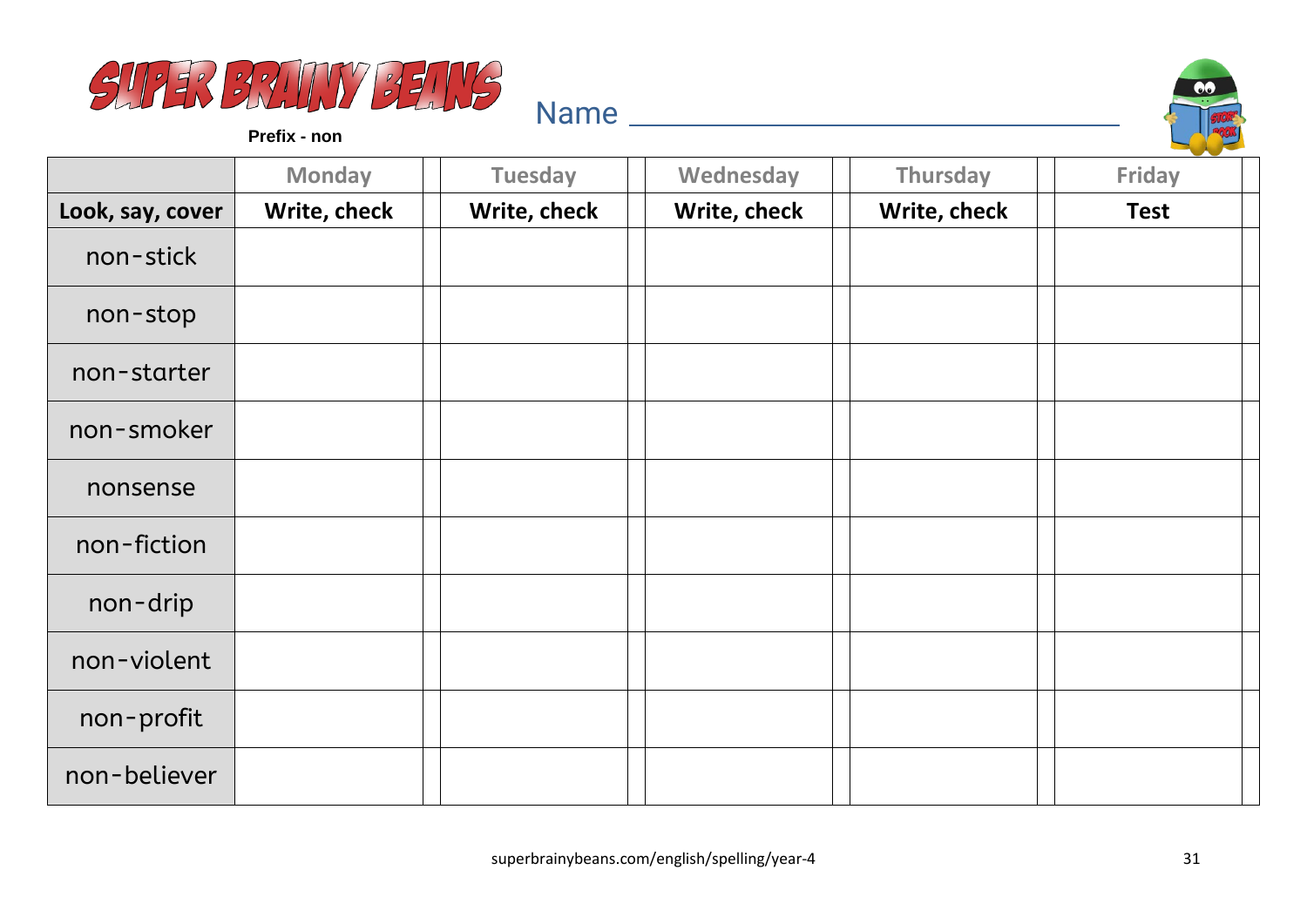



**Prefix - non**

|                  | <b>Monday</b> | <b>Tuesday</b> | Wednesday    | Thursday     | Friday      |
|------------------|---------------|----------------|--------------|--------------|-------------|
| Look, say, cover | Write, check  | Write, check   | Write, check | Write, check | <b>Test</b> |
| non-stick        |               |                |              |              |             |
| non-stop         |               |                |              |              |             |
| non-starter      |               |                |              |              |             |
| non-smoker       |               |                |              |              |             |
| nonsense         |               |                |              |              |             |
| non-fiction      |               |                |              |              |             |
| non-drip         |               |                |              |              |             |
| non-violent      |               |                |              |              |             |
| non-profit       |               |                |              |              |             |
| non-believer     |               |                |              |              |             |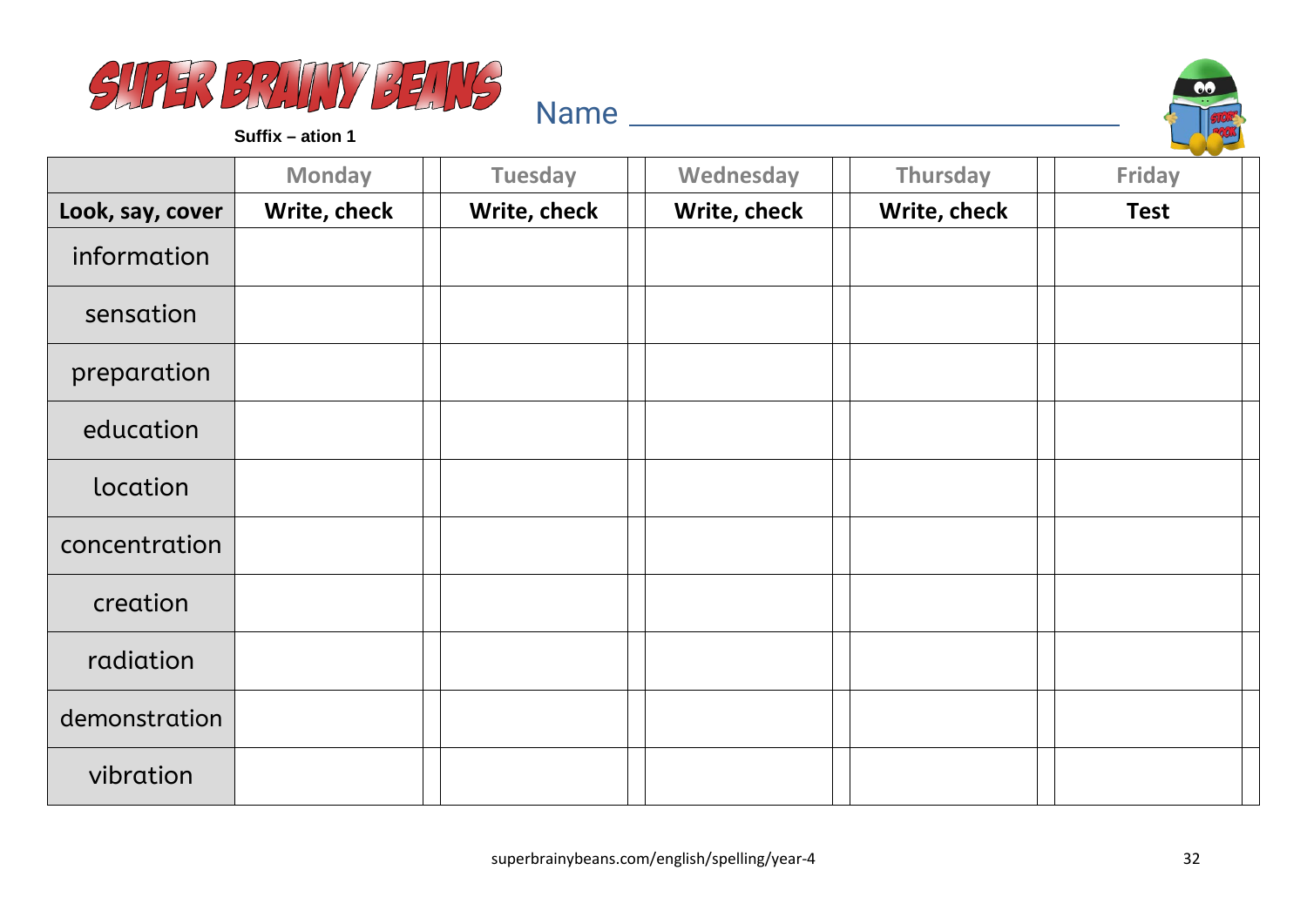



**Suffix – ation 1**

|                  | <b>Monday</b> | <b>Tuesday</b> | Wednesday    | Thursday     | Friday      |
|------------------|---------------|----------------|--------------|--------------|-------------|
| Look, say, cover | Write, check  | Write, check   | Write, check | Write, check | <b>Test</b> |
| information      |               |                |              |              |             |
| sensation        |               |                |              |              |             |
| preparation      |               |                |              |              |             |
| education        |               |                |              |              |             |
| location         |               |                |              |              |             |
| concentration    |               |                |              |              |             |
| creation         |               |                |              |              |             |
| radiation        |               |                |              |              |             |
| demonstration    |               |                |              |              |             |
| vibration        |               |                |              |              |             |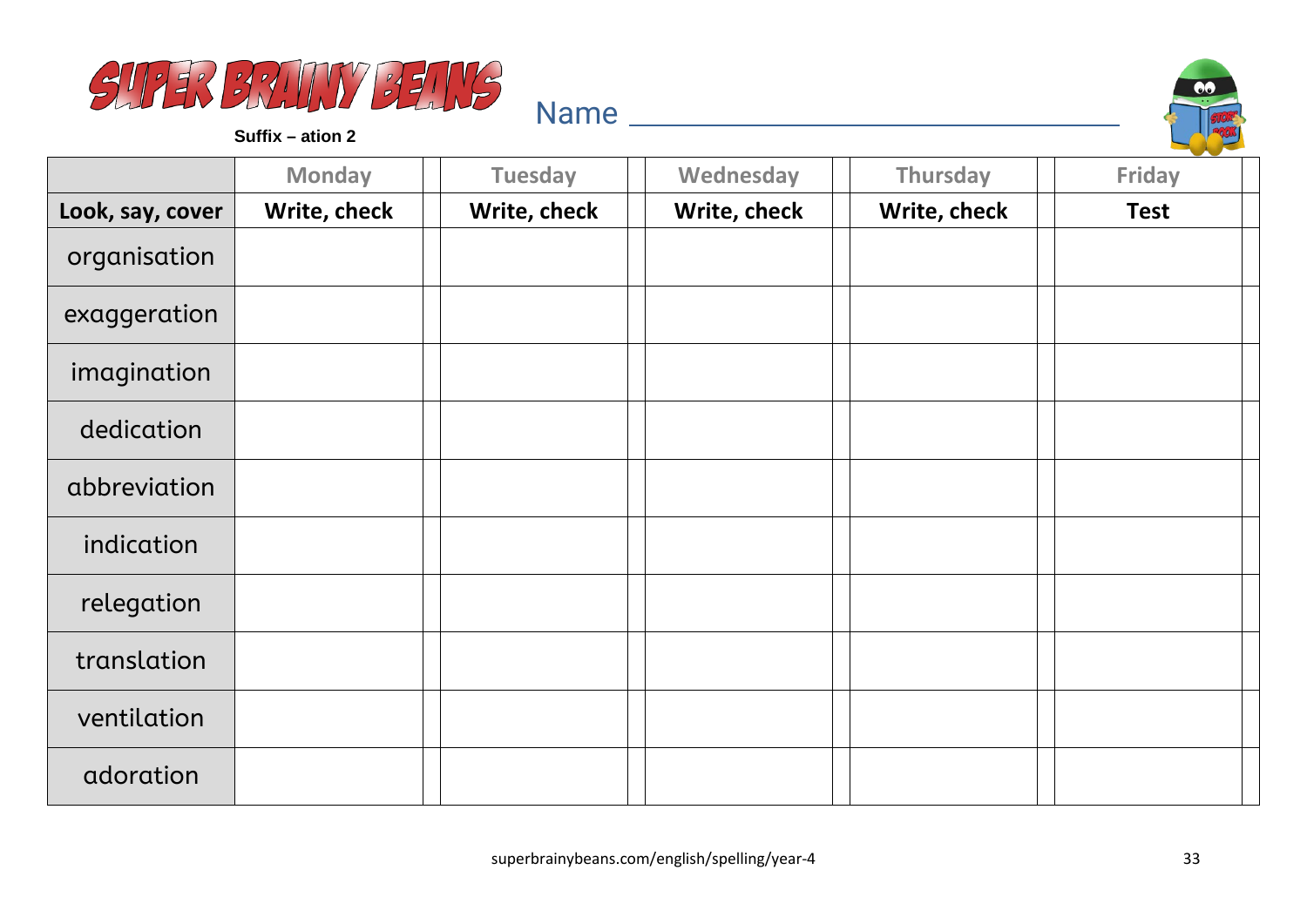



**Suffix – ation 2**

|                  | <b>Monday</b> | <b>Tuesday</b> | Wednesday    | Thursday     | Friday      |
|------------------|---------------|----------------|--------------|--------------|-------------|
| Look, say, cover | Write, check  | Write, check   | Write, check | Write, check | <b>Test</b> |
| organisation     |               |                |              |              |             |
| exaggeration     |               |                |              |              |             |
| imagination      |               |                |              |              |             |
| dedication       |               |                |              |              |             |
| abbreviation     |               |                |              |              |             |
| indication       |               |                |              |              |             |
| relegation       |               |                |              |              |             |
| translation      |               |                |              |              |             |
| ventilation      |               |                |              |              |             |
| adoration        |               |                |              |              |             |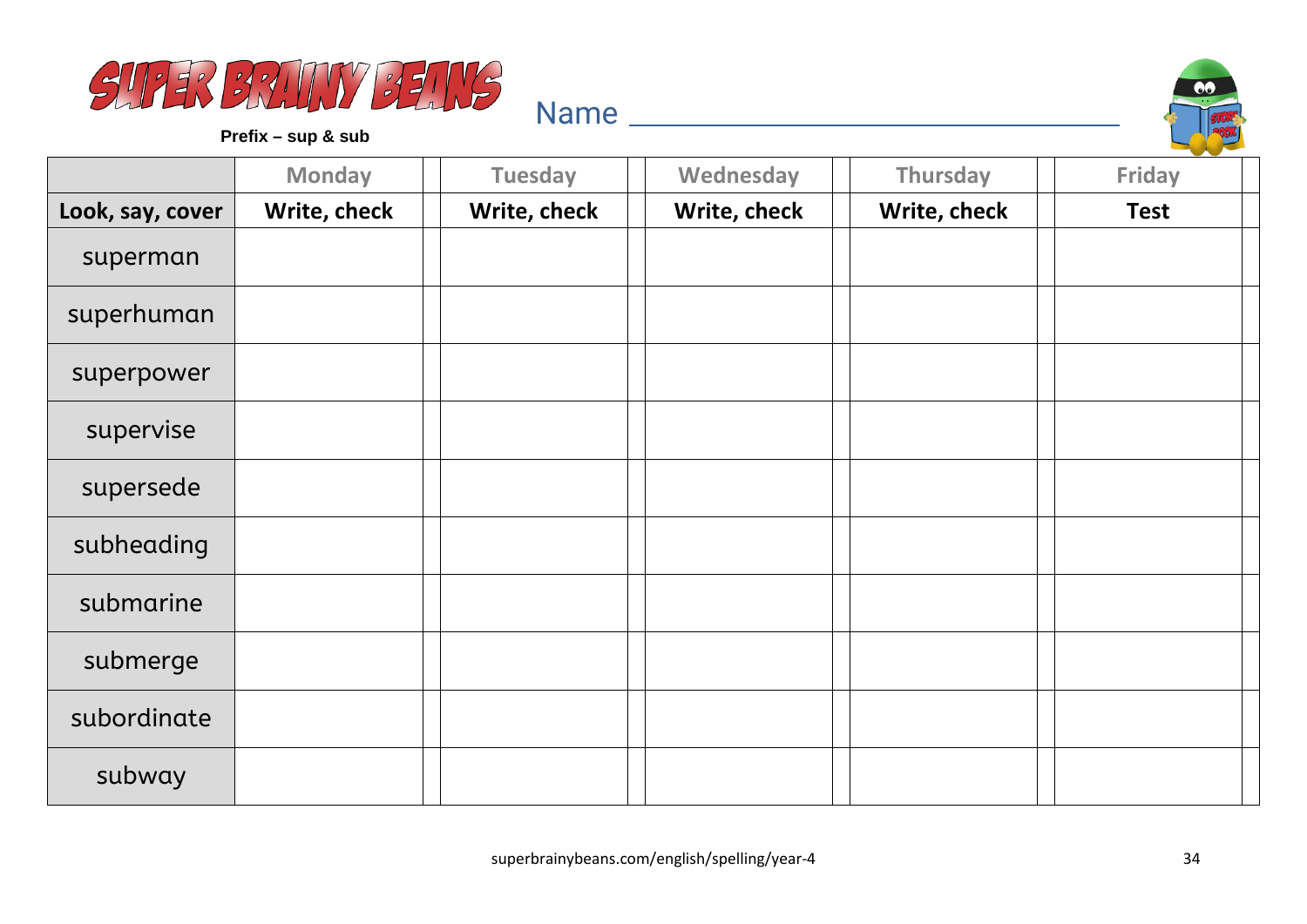



**Prefix – sup & sub**

|                  | <b>Monday</b> | <b>Tuesday</b> | Wednesday    | Thursday     | --<br><b>Friday</b> |
|------------------|---------------|----------------|--------------|--------------|---------------------|
| Look, say, cover | Write, check  | Write, check   | Write, check | Write, check | <b>Test</b>         |
| superman         |               |                |              |              |                     |
| superhuman       |               |                |              |              |                     |
| superpower       |               |                |              |              |                     |
| supervise        |               |                |              |              |                     |
| supersede        |               |                |              |              |                     |
| subheading       |               |                |              |              |                     |
| submarine        |               |                |              |              |                     |
| submerge         |               |                |              |              |                     |
| subordinate      |               |                |              |              |                     |
| subway           |               |                |              |              |                     |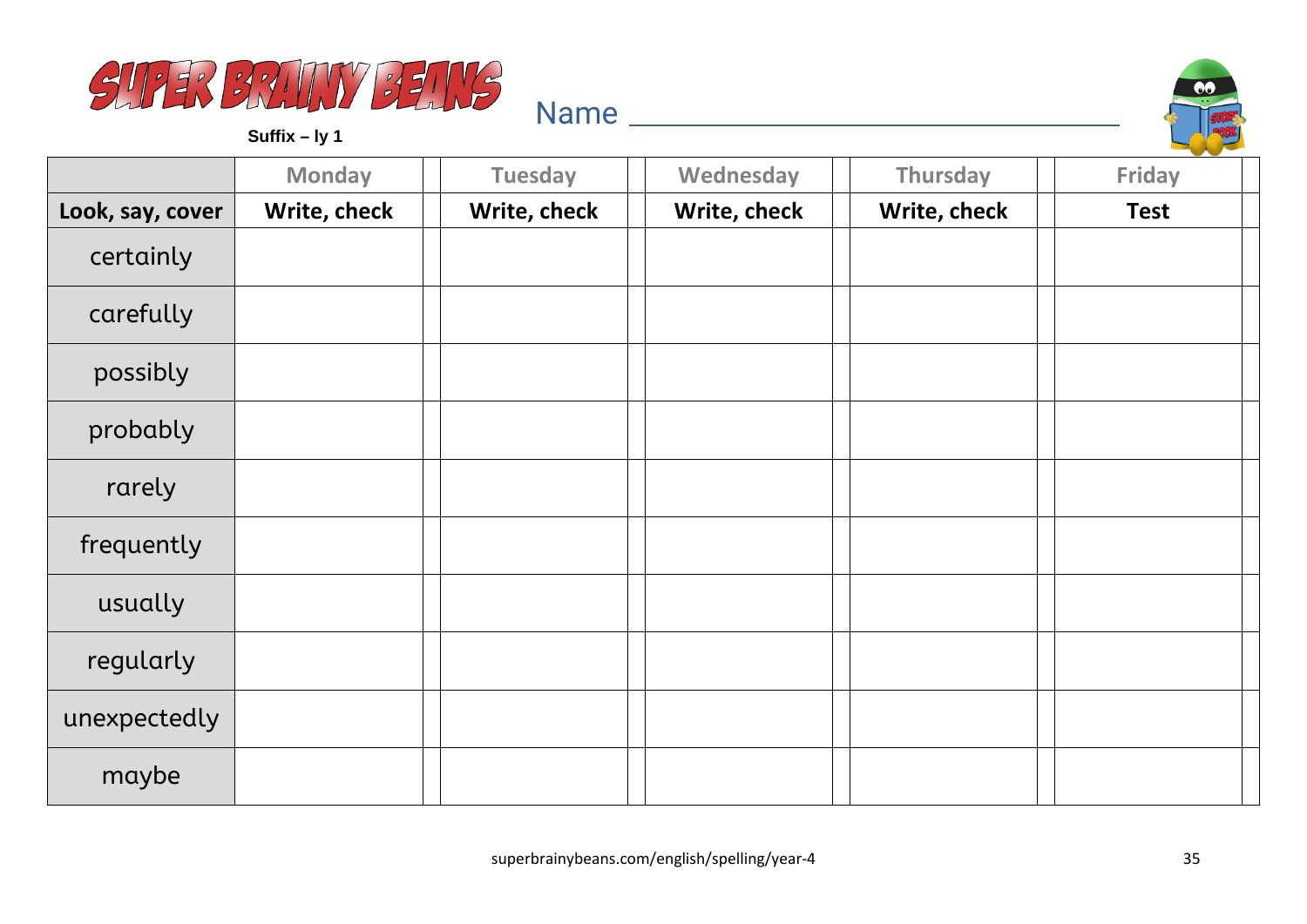



**Suffix – ly 1**

|                  | <b>Monday</b> | <b>Tuesday</b> | Wednesday    | Thursday     | <b>Friday</b> |
|------------------|---------------|----------------|--------------|--------------|---------------|
| Look, say, cover | Write, check  | Write, check   | Write, check | Write, check | <b>Test</b>   |
| certainly        |               |                |              |              |               |
| carefully        |               |                |              |              |               |
| possibly         |               |                |              |              |               |
| probably         |               |                |              |              |               |
| rarely           |               |                |              |              |               |
| frequently       |               |                |              |              |               |
| usually          |               |                |              |              |               |
| regularly        |               |                |              |              |               |
| unexpectedly     |               |                |              |              |               |
| maybe            |               |                |              |              |               |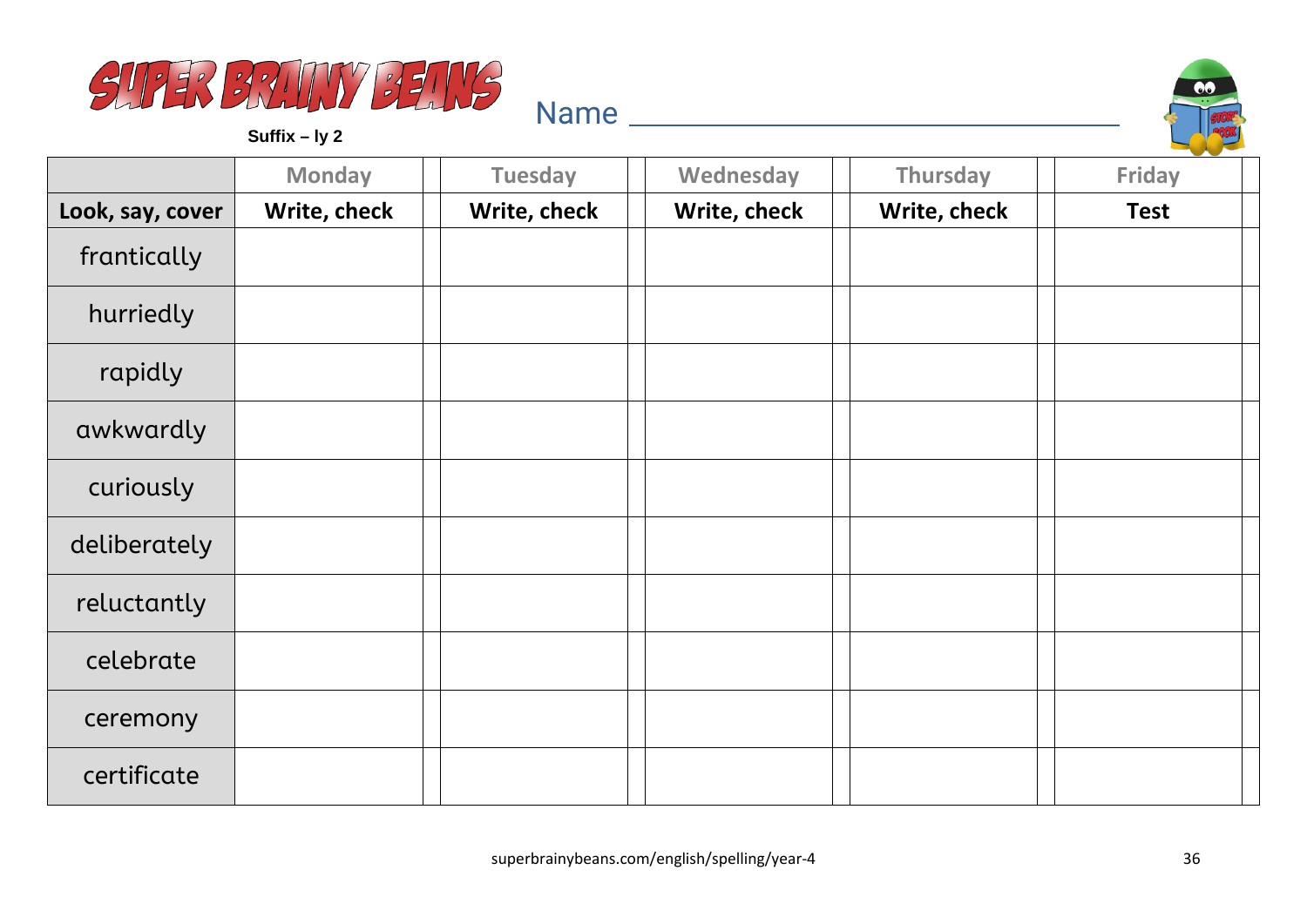

**Suffix – ly 2**



|                  | <b>Monday</b> | <b>Tuesday</b> | Wednesday    | Thursday     | Friday      |
|------------------|---------------|----------------|--------------|--------------|-------------|
| Look, say, cover | Write, check  | Write, check   | Write, check | Write, check | <b>Test</b> |
| frantically      |               |                |              |              |             |
| hurriedly        |               |                |              |              |             |
| rapidly          |               |                |              |              |             |
| awkwardly        |               |                |              |              |             |
| curiously        |               |                |              |              |             |
| deliberately     |               |                |              |              |             |
| reluctantly      |               |                |              |              |             |
| celebrate        |               |                |              |              |             |
| ceremony         |               |                |              |              |             |
| certificate      |               |                |              |              |             |